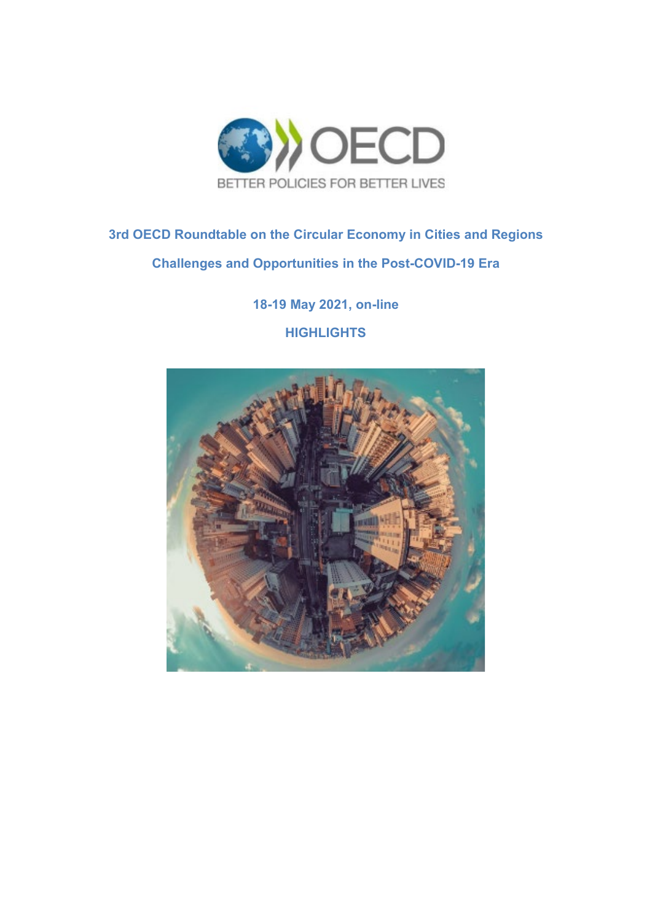

### **3rd OECD Roundtable on the Circular Economy in Cities and Regions Challenges and Opportunities in the Post-COVID-19 Era**

**18-19 May 2021, on-line HIGHLIGHTS**

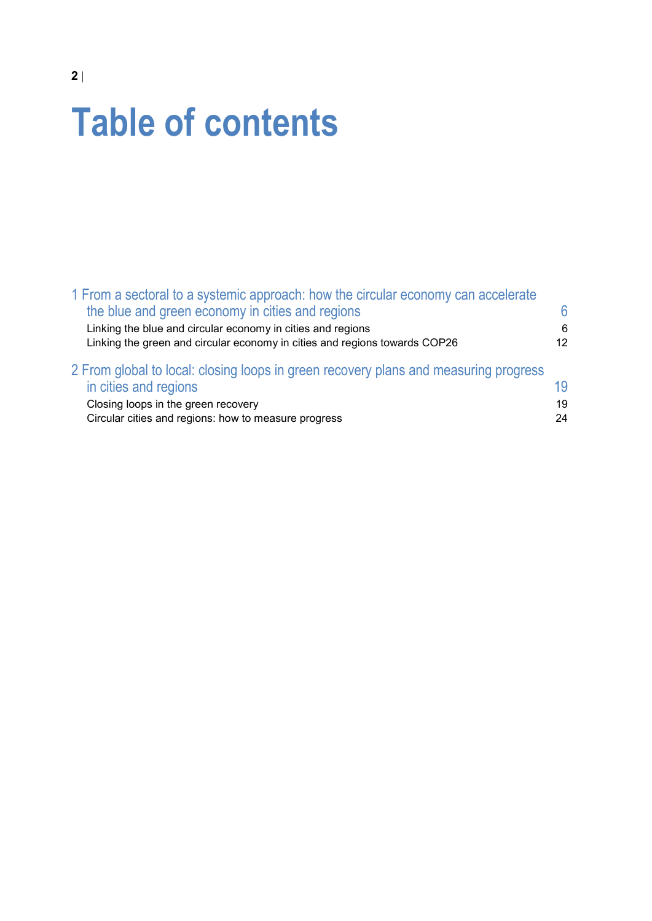# **Table of contents**

| 1 From a sectoral to a systemic approach: how the circular economy can accelerate    |    |
|--------------------------------------------------------------------------------------|----|
| the blue and green economy in cities and regions                                     | 6  |
| Linking the blue and circular economy in cities and regions                          | 6  |
| Linking the green and circular economy in cities and regions towards COP26           | 12 |
| 2 From global to local: closing loops in green recovery plans and measuring progress |    |
| in cities and regions                                                                | 19 |
| Closing loops in the green recovery                                                  | 19 |
| Circular cities and regions: how to measure progress                                 | 24 |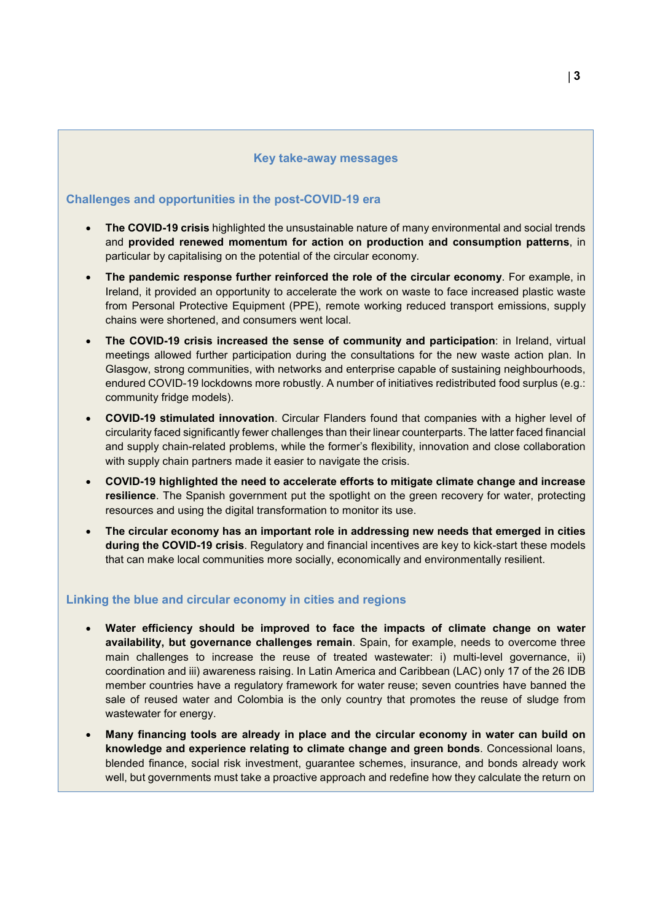#### **Key take-away messages**

### **Challenges and opportunities in the post-COVID-19 era**

- **The COVID-19 crisis** highlighted the unsustainable nature of many environmental and social trends and **provided renewed momentum for action on production and consumption patterns**, in particular by capitalising on the potential of the circular economy.
- **The pandemic response further reinforced the role of the circular economy**. For example, in Ireland, it provided an opportunity to accelerate the work on waste to face increased plastic waste from Personal Protective Equipment (PPE), remote working reduced transport emissions, supply chains were shortened, and consumers went local.
- **The COVID-19 crisis increased the sense of community and participation**: in Ireland, virtual meetings allowed further participation during the consultations for the new waste action plan. In Glasgow, strong communities, with networks and enterprise capable of sustaining neighbourhoods, endured COVID-19 lockdowns more robustly. A number of initiatives redistributed food surplus (e.g.: community fridge models).
- **COVID-19 stimulated innovation**. Circular Flanders found that companies with a higher level of circularity faced significantly fewer challenges than their linear counterparts. The latter faced financial and supply chain-related problems, while the former's flexibility, innovation and close collaboration with supply chain partners made it easier to navigate the crisis.
- **COVID-19 highlighted the need to accelerate efforts to mitigate climate change and increase resilience**. The Spanish government put the spotlight on the green recovery for water, protecting resources and using the digital transformation to monitor its use.
- **The circular economy has an important role in addressing new needs that emerged in cities during the COVID-19 crisis**. Regulatory and financial incentives are key to kick-start these models that can make local communities more socially, economically and environmentally resilient.

### **Linking the blue and circular economy in cities and regions**

- **Water efficiency should be improved to face the impacts of climate change on water availability, but governance challenges remain**. Spain, for example, needs to overcome three main challenges to increase the reuse of treated wastewater: i) multi-level governance, ii) coordination and iii) awareness raising. In Latin America and Caribbean (LAC) only 17 of the 26 IDB member countries have a regulatory framework for water reuse; seven countries have banned the sale of reused water and Colombia is the only country that promotes the reuse of sludge from wastewater for energy.
- **Many financing tools are already in place and the circular economy in water can build on knowledge and experience relating to climate change and green bonds**. Concessional loans, blended finance, social risk investment, guarantee schemes, insurance, and bonds already work well, but governments must take a proactive approach and redefine how they calculate the return on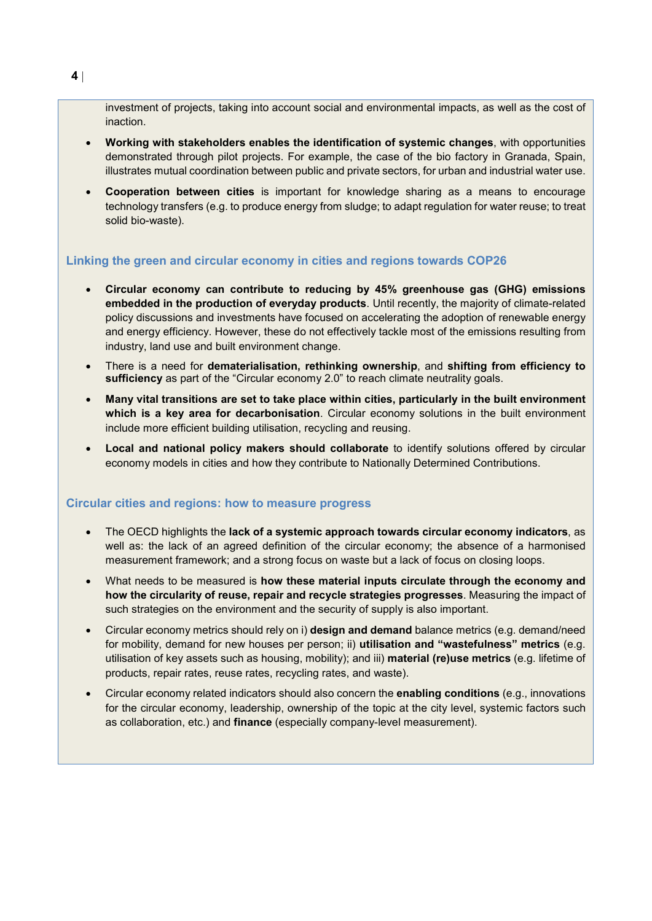investment of projects, taking into account social and environmental impacts, as well as the cost of inaction.

- **Working with stakeholders enables the identification of systemic changes**, with opportunities demonstrated through pilot projects. For example, the case of the bio factory in Granada, Spain, illustrates mutual coordination between public and private sectors, for urban and industrial water use.
- **Cooperation between cities** is important for knowledge sharing as a means to encourage technology transfers (e.g. to produce energy from sludge; to adapt regulation for water reuse; to treat solid bio-waste).

### **Linking the green and circular economy in cities and regions towards COP26**

- **Circular economy can contribute to reducing by 45% greenhouse gas (GHG) emissions embedded in the production of everyday products**. Until recently, the majority of climate-related policy discussions and investments have focused on accelerating the adoption of renewable energy and energy efficiency. However, these do not effectively tackle most of the emissions resulting from industry, land use and built environment change.
- There is a need for **dematerialisation, rethinking ownership**, and **shifting from efficiency to sufficiency** as part of the "Circular economy 2.0" to reach climate neutrality goals.
- **Many vital transitions are set to take place within cities, particularly in the built environment which is a key area for decarbonisation**. Circular economy solutions in the built environment include more efficient building utilisation, recycling and reusing.
- **Local and national policy makers should collaborate** to identify solutions offered by circular economy models in cities and how they contribute to Nationally Determined Contributions.

### **Circular cities and regions: how to measure progress**

- The OECD highlights the **lack of a systemic approach towards circular economy indicators**, as well as: the lack of an agreed definition of the circular economy; the absence of a harmonised measurement framework; and a strong focus on waste but a lack of focus on closing loops.
- What needs to be measured is **how these material inputs circulate through the economy and how the circularity of reuse, repair and recycle strategies progresses**. Measuring the impact of such strategies on the environment and the security of supply is also important.
- Circular economy metrics should rely on i) **design and demand** balance metrics (e.g. demand/need for mobility, demand for new houses per person; ii) **utilisation and "wastefulness" metrics** (e.g. utilisation of key assets such as housing, mobility); and iii) **material (re)use metrics** (e.g. lifetime of products, repair rates, reuse rates, recycling rates, and waste).
- Circular economy related indicators should also concern the **enabling conditions** (e.g., innovations for the circular economy, leadership, ownership of the topic at the city level, systemic factors such as collaboration, etc.) and **finance** (especially company-level measurement).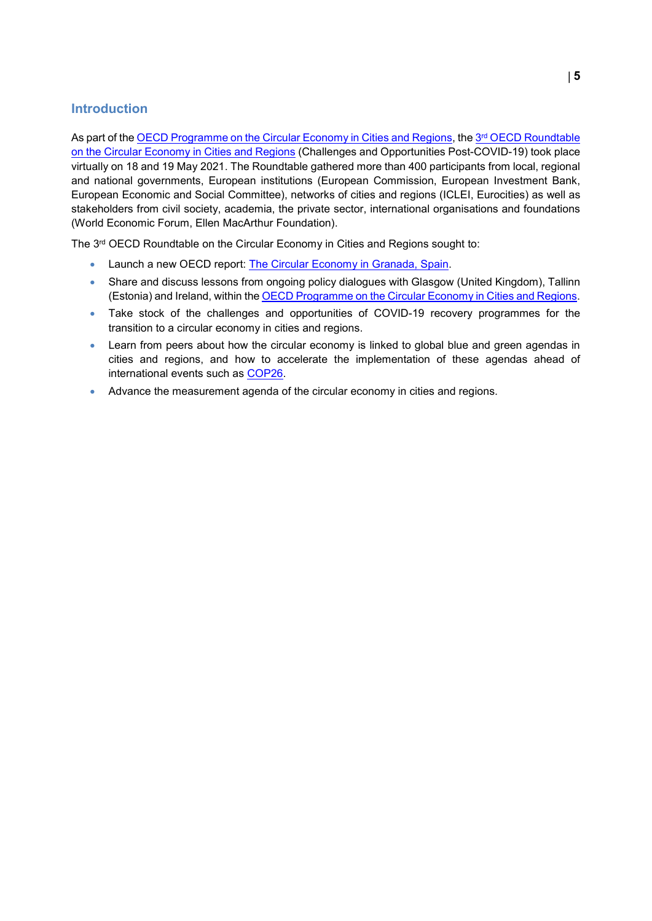### **Introduction**

As part of the [OECD Programme on the Circular Economy in Cities and Regions,](https://www.oecd.org/regional/cities/circular-economy-cities.htm) the 3<sup>rd</sup> [OECD Roundtable](https://www.oecd.org/fr/regional/roundtable-circular-economy.htm) [on the Circular Economy in Cities and Regions](https://www.oecd.org/fr/regional/roundtable-circular-economy.htm) (Challenges and Opportunities Post-COVID-19) took place virtually on 18 and 19 May 2021. The Roundtable gathered more than 400 participants from local, regional and national governments, European institutions (European Commission, European Investment Bank, European Economic and Social Committee), networks of cities and regions (ICLEI, Eurocities) as well as stakeholders from civil society, academia, the private sector, international organisations and foundations (World Economic Forum, Ellen MacArthur Foundation).

The 3rd OECD Roundtable on the Circular Economy in Cities and Regions sought to:

- Launch a new OECD report: [The Circular Economy in Granada, Spain.](https://www.oecd-ilibrary.org/urban-rural-and-regional-development/the-circular-economy-in-granada-spain_5f8bd827-en)
- Share and discuss lessons from ongoing policy dialogues with Glasgow (United Kingdom), Tallinn (Estonia) and Ireland, within th[e OECD Programme on the Circular Economy in Cities and Regions.](https://www.oecd.org/regional/cities/circular-economy-cities.htm)
- Take stock of the challenges and opportunities of COVID-19 recovery programmes for the transition to a circular economy in cities and regions.
- Learn from peers about how the circular economy is linked to global blue and green agendas in cities and regions, and how to accelerate the implementation of these agendas ahead of international events such as [COP26.](https://ukcop26.org/)
- Advance the measurement agenda of the circular economy in cities and regions.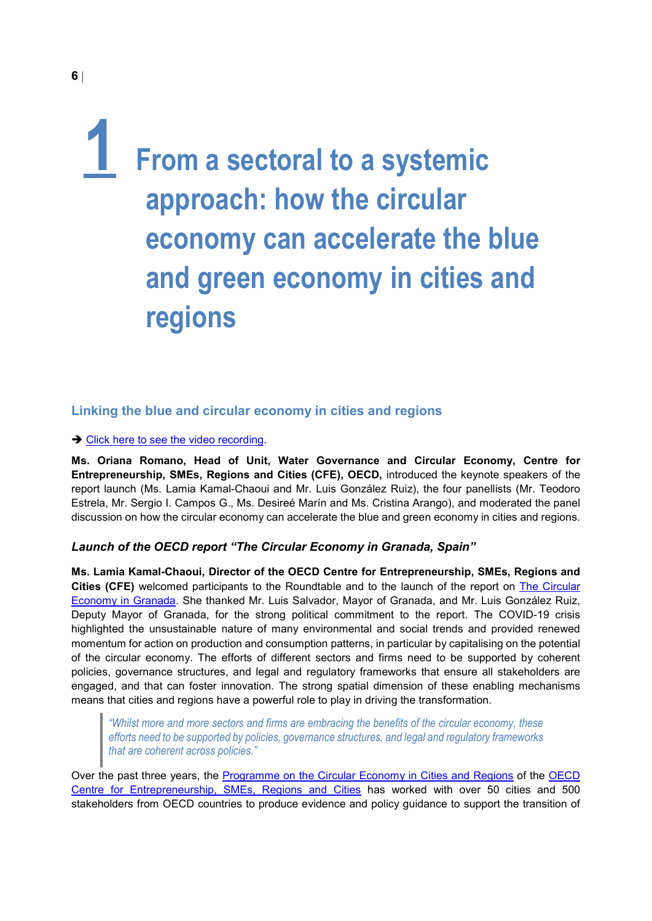### <span id="page-5-0"></span>**1 From a sectoral to a systemic approach: how the circular economy can accelerate the blue and green economy in cities and regions**

### <span id="page-5-1"></span>**Linking the blue and circular economy in cities and regions**

### **→ [Click here to see the video recording.](https://www.youtube.com/watch?v=Qxs0cyzkPIk&t=1592s)**

**Ms. Oriana Romano, Head of Unit, Water Governance and Circular Economy, Centre for Entrepreneurship, SMEs, Regions and Cities (CFE), OECD,** introduced the keynote speakers of the report launch (Ms. Lamia Kamal-Chaoui and Mr. Luis González Ruiz), the four panellists (Mr. Teodoro Estrela, Mr. Sergio I. Campos G., Ms. Desireé Marín and Ms. Cristina Arango), and moderated the panel discussion on how the circular economy can accelerate the blue and green economy in cities and regions.

### *Launch of the OECD report "The Circular Economy in Granada, Spain"*

**Ms. Lamia Kamal-Chaoui, Director of the OECD Centre for Entrepreneurship, SMEs, Regions and Cities (CFE)** welcomed participants to the Roundtable and to the launch of the report on [The Circular](https://doi.org/10.1787/b261814f-en)  [Economy in Granada.](https://doi.org/10.1787/b261814f-en) She thanked Mr. Luis Salvador, Mayor of Granada, and Mr. Luis González Ruiz, Deputy Mayor of Granada, for the strong political commitment to the report. The COVID-19 crisis highlighted the unsustainable nature of many environmental and social trends and provided renewed momentum for action on production and consumption patterns, in particular by capitalising on the potential of the circular economy. The efforts of different sectors and firms need to be supported by coherent policies, governance structures, and legal and regulatory frameworks that ensure all stakeholders are engaged, and that can foster innovation. The strong spatial dimension of these enabling mechanisms means that cities and regions have a powerful role to play in driving the transformation.

*"Whilst more and more sectors and firms are embracing the benefits of the circular economy, these efforts need to be supported by policies, governance structures, and legal and regulatory frameworks that are coherent across policies."*

Over the past three years, the [Programme on the Circular Economy in Cities and Regions](https://www.oecd.org/regional/cities/circular-economy-cities.htm) of the [OECD](https://www.oecd.org/cfe/)  [Centre for Entrepreneurship, SMEs, Regions and Cities](https://www.oecd.org/cfe/) has worked with over 50 cities and 500 stakeholders from OECD countries to produce evidence and policy guidance to support the transition of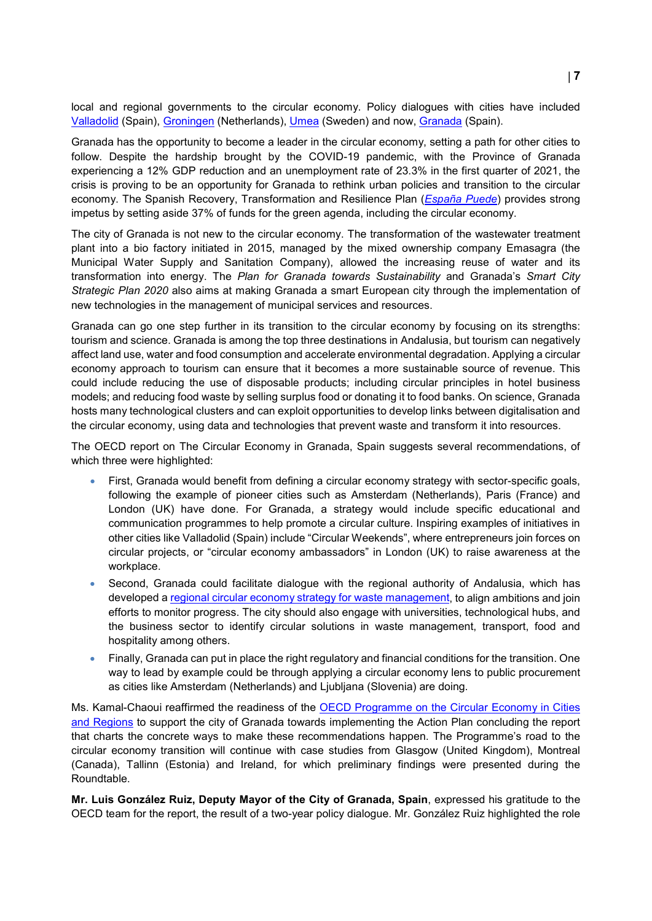local and regional governments to the circular economy. Policy dialogues with cities have included [Valladolid](https://www.oecd.org/publications/the-circular-economy-in-valladolid-spain-95b1d56e-en.htm) (Spain), [Groningen](https://www.oecd.org/publications/the-circular-economy-in-groningen-the-netherlands-e53348d4-en.htm) (Netherlands), [Umea](https://www.oecd.org/sweden/the-circular-economy-in-umea-sweden-4ec5dbcd-en.htm) (Sweden) and now, [Granada](https://www.oecd.org/sweden/the-circular-economy-in-umea-sweden-4ec5dbcd-en.htm) (Spain).

Granada has the opportunity to become a leader in the circular economy, setting a path for other cities to follow. Despite the hardship brought by the COVID-19 pandemic, with the Province of Granada experiencing a 12% GDP reduction and an unemployment rate of 23.3% in the first quarter of 2021, the crisis is proving to be an opportunity for Granada to rethink urban policies and transition to the circular economy. The Spanish Recovery, Transformation and Resilience Plan (*[España Puede](https://www.lamoncloa.gob.es/presidente/actividades/Paginas/2020/espana-puede.aspx)*) provides strong impetus by setting aside 37% of funds for the green agenda, including the circular economy.

The city of Granada is not new to the circular economy. The transformation of the wastewater treatment plant into a bio factory initiated in 2015, managed by the mixed ownership company Emasagra (the Municipal Water Supply and Sanitation Company), allowed the increasing reuse of water and its transformation into energy. The *Plan for Granada towards Sustainability* and Granada's *Smart City Strategic Plan 2020* also aims at making Granada a smart European city through the implementation of new technologies in the management of municipal services and resources.

Granada can go one step further in its transition to the circular economy by focusing on its strengths: tourism and science. Granada is among the top three destinations in Andalusia, but tourism can negatively affect land use, water and food consumption and accelerate environmental degradation. Applying a circular economy approach to tourism can ensure that it becomes a more sustainable source of revenue. This could include reducing the use of disposable products; including circular principles in hotel business models; and reducing food waste by selling surplus food or donating it to food banks. On science, Granada hosts many technological clusters and can exploit opportunities to develop links between digitalisation and the circular economy, using data and technologies that prevent waste and transform it into resources.

The OECD report on The Circular Economy in Granada, Spain suggests several recommendations, of which three were highlighted:

- First, Granada would benefit from defining a circular economy strategy with sector-specific goals, following the example of pioneer cities such as Amsterdam (Netherlands), Paris (France) and London (UK) have done. For Granada, a strategy would include specific educational and communication programmes to help promote a circular culture. Inspiring examples of initiatives in other cities like Valladolid (Spain) include "Circular Weekends", where entrepreneurs join forces on circular projects, or "circular economy ambassadors" in London (UK) to raise awareness at the workplace.
- Second, Granada could facilitate dialogue with the regional authority of Andalusia, which has developed a [regional circular economy strategy](https://www.juntadeandalucia.es/medioambiente/portal/landing-page-planificacion/-/asset_publisher/Jw7AHImcvbx0/content/plan-integral-de-residuos-de-andaluc-c3-ada/20151) for waste management, to align ambitions and join efforts to monitor progress. The city should also engage with universities, technological hubs, and the business sector to identify circular solutions in waste management, transport, food and hospitality among others.
- Finally, Granada can put in place the right regulatory and financial conditions for the transition. One way to lead by example could be through applying a circular economy lens to public procurement as cities like Amsterdam (Netherlands) and Ljubljana (Slovenia) are doing.

Ms. Kamal-Chaoui reaffirmed the readiness of the OECD Programme on the Circular Economy in Cities [and Regions](https://www.oecd.org/regional/cities/circular-economy-cities.htm) to support the city of Granada towards implementing the Action Plan concluding the report that charts the concrete ways to make these recommendations happen. The Programme's road to the circular economy transition will continue with case studies from Glasgow (United Kingdom), Montreal (Canada), Tallinn (Estonia) and Ireland, for which preliminary findings were presented during the Roundtable.

**Mr. Luis González Ruiz, Deputy Mayor of the City of Granada, Spain**, expressed his gratitude to the OECD team for the report, the result of a two-year policy dialogue. Mr. González Ruiz highlighted the role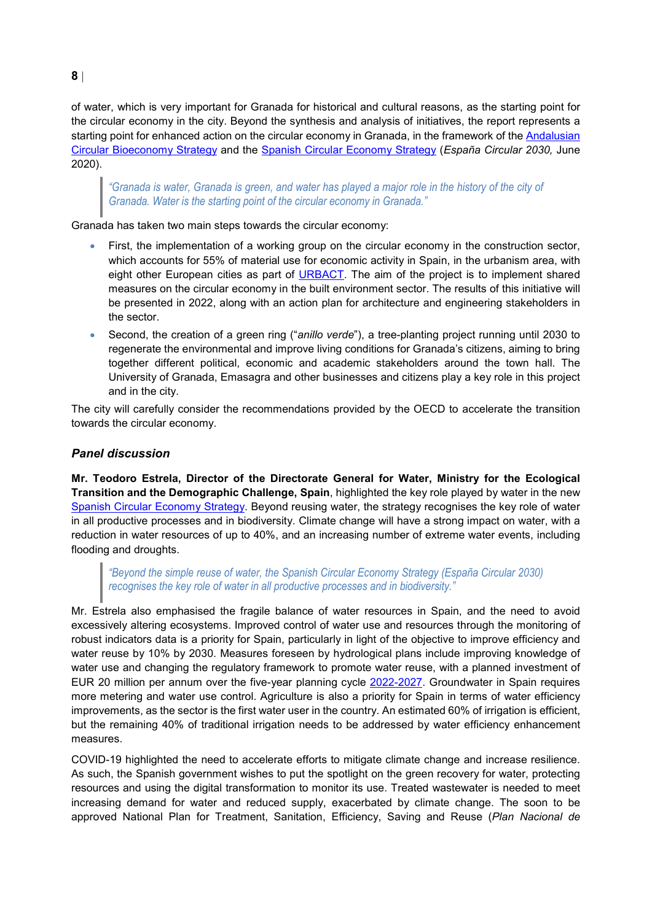of water, which is very important for Granada for historical and cultural reasons, as the starting point for the circular economy in the city. Beyond the synthesis and analysis of initiatives, the report represents a starting point for enhanced action on the circular economy in Granada, in the framework of the Andalusian [Circular Bioeconomy Strategy](https://ec.europa.eu/regional_policy/en/projects/Spain/andalusia-promotes-sustainable-growth-through-renewable-biological-products#:%7E:text=With%20the%20support%20of%20EU,and%20biological%20products%20and%20processes.) and the [Spanish Circular Economy Strategy](https://www.miteco.gob.es/es/calidad-y-evaluacion-ambiental/temas/economia-circular/estrategia/) (*España Circular 2030,* June 2020).

*"Granada is water, Granada is green, and water has played a major role in the history of the city of Granada. Water is the starting point of the circular economy in Granada."*

Granada has taken two main steps towards the circular economy:

- First, the implementation of a working group on the circular economy in the construction sector, which accounts for 55% of material use for economic activity in Spain, in the urbanism area, with eight other European cities as part of [URBACT.](https://urbact.eu/) The aim of the project is to implement shared measures on the circular economy in the built environment sector. The results of this initiative will be presented in 2022, along with an action plan for architecture and engineering stakeholders in the sector.
- Second, the creation of a green ring ("*anillo verde*"), a tree-planting project running until 2030 to regenerate the environmental and improve living conditions for Granada's citizens, aiming to bring together different political, economic and academic stakeholders around the town hall. The University of Granada, Emasagra and other businesses and citizens play a key role in this project and in the city.

The city will carefully consider the recommendations provided by the OECD to accelerate the transition towards the circular economy.

### *Panel discussion*

**Mr. Teodoro Estrela, Director of the Directorate General for Water, Ministry for the Ecological Transition and the Demographic Challenge, Spain**, highlighted the key role played by water in the new [Spanish Circular Economy Strategy.](https://www.miteco.gob.es/es/calidad-y-evaluacion-ambiental/temas/economia-circular/estrategia/) Beyond reusing water, the strategy recognises the key role of water in all productive processes and in biodiversity. Climate change will have a strong impact on water, with a reduction in water resources of up to 40%, and an increasing number of extreme water events, including flooding and droughts.

*"Beyond the simple reuse of water, the Spanish Circular Economy Strategy (España Circular 2030) recognises the key role of water in all productive processes and in biodiversity."*

Mr. Estrela also emphasised the fragile balance of water resources in Spain, and the need to avoid excessively altering ecosystems. Improved control of water use and resources through the monitoring of robust indicators data is a priority for Spain, particularly in light of the objective to improve efficiency and water reuse by 10% by 2030. Measures foreseen by hydrological plans include improving knowledge of water use and changing the regulatory framework to promote water reuse, with a planned investment of EUR 20 million per annum over the five-year planning cycle [2022-2027.](https://www.miteco.gob.es/es/agua/temas/planificacion-hidrologica/planificacion-hidrologica/PPHH_tercer_ciclo.aspx) Groundwater in Spain requires more metering and water use control. Agriculture is also a priority for Spain in terms of water efficiency improvements, as the sector is the first water user in the country. An estimated 60% of irrigation is efficient, but the remaining 40% of traditional irrigation needs to be addressed by water efficiency enhancement measures.

COVID-19 highlighted the need to accelerate efforts to mitigate climate change and increase resilience. As such, the Spanish government wishes to put the spotlight on the green recovery for water, protecting resources and using the digital transformation to monitor its use. Treated wastewater is needed to meet increasing demand for water and reduced supply, exacerbated by climate change. The soon to be approved National Plan for Treatment, Sanitation, Efficiency, Saving and Reuse (*Plan Nacional de*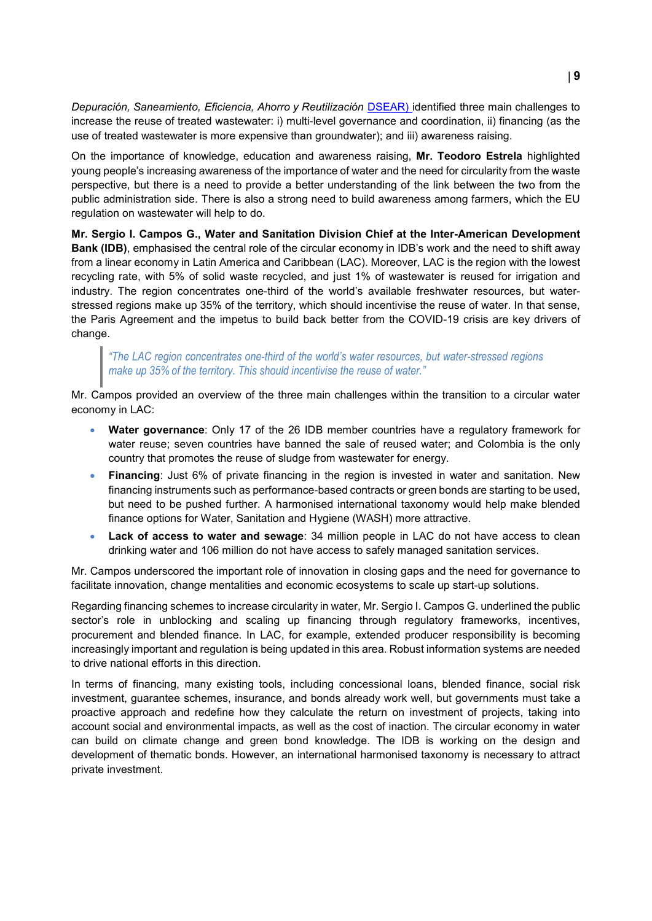*Depuración, Saneamiento, Eficiencia, Ahorro y Reutilización* [DSEAR\)](https://www.miteco.gob.es/es/agua/temas/planificacion-hidrologica/planificacion-hidrologica/planes-programas-relacionados/) identified three main challenges to increase the reuse of treated wastewater: i) multi-level governance and coordination, ii) financing (as the use of treated wastewater is more expensive than groundwater); and iii) awareness raising.

On the importance of knowledge, education and awareness raising, **Mr. Teodoro Estrela** highlighted young people's increasing awareness of the importance of water and the need for circularity from the waste perspective, but there is a need to provide a better understanding of the link between the two from the public administration side. There is also a strong need to build awareness among farmers, which the EU regulation on wastewater will help to do.

**Mr. Sergio I. Campos G., Water and Sanitation Division Chief at the Inter-American Development Bank (IDB)**, emphasised the central role of the circular economy in IDB's work and the need to shift away from a linear economy in Latin America and Caribbean (LAC). Moreover, LAC is the region with the lowest recycling rate, with 5% of solid waste recycled, and just 1% of wastewater is reused for irrigation and industry. The region concentrates one-third of the world's available freshwater resources, but waterstressed regions make up 35% of the territory, which should incentivise the reuse of water. In that sense, the Paris Agreement and the impetus to build back better from the COVID-19 crisis are key drivers of change.

### *"The LAC region concentrates one-third of the world's water resources, but water-stressed regions make up 35% of the territory. This should incentivise the reuse of water."*

Mr. Campos provided an overview of the three main challenges within the transition to a circular water economy in LAC:

- **Water governance**: Only 17 of the 26 IDB member countries have a regulatory framework for water reuse; seven countries have banned the sale of reused water; and Colombia is the only country that promotes the reuse of sludge from wastewater for energy.
- **Financing**: Just 6% of private financing in the region is invested in water and sanitation. New financing instruments such as performance-based contracts or green bonds are starting to be used, but need to be pushed further. A harmonised international taxonomy would help make blended finance options for Water, Sanitation and Hygiene (WASH) more attractive.
- **Lack of access to water and sewage**: 34 million people in LAC do not have access to clean drinking water and 106 million do not have access to safely managed sanitation services.

Mr. Campos underscored the important role of innovation in closing gaps and the need for governance to facilitate innovation, change mentalities and economic ecosystems to scale up start-up solutions.

Regarding financing schemes to increase circularity in water, Mr. Sergio I. Campos G. underlined the public sector's role in unblocking and scaling up financing through regulatory frameworks, incentives, procurement and blended finance. In LAC, for example, extended producer responsibility is becoming increasingly important and regulation is being updated in this area. Robust information systems are needed to drive national efforts in this direction.

In terms of financing, many existing tools, including concessional loans, blended finance, social risk investment, guarantee schemes, insurance, and bonds already work well, but governments must take a proactive approach and redefine how they calculate the return on investment of projects, taking into account social and environmental impacts, as well as the cost of inaction. The circular economy in water can build on climate change and green bond knowledge. The IDB is working on the design and development of thematic bonds. However, an international harmonised taxonomy is necessary to attract private investment.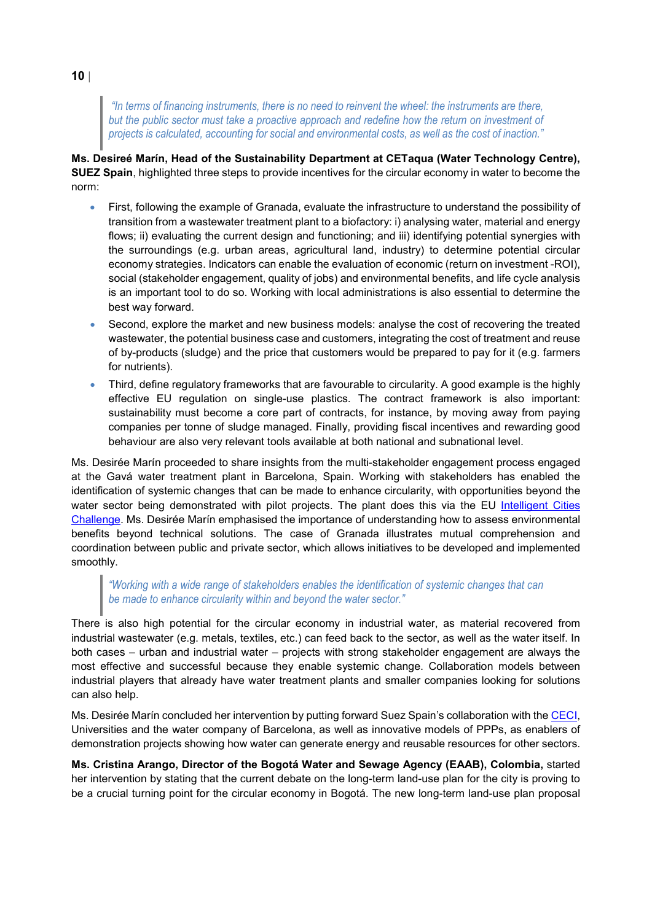*"In terms of financing instruments, there is no need to reinvent the wheel: the instruments are there, but the public sector must take a proactive approach and redefine how the return on investment of projects is calculated, accounting for social and environmental costs, as well as the cost of inaction."*

**Ms. Desireé Marín, Head of the Sustainability Department at CETaqua (Water Technology Centre), SUEZ Spain**, highlighted three steps to provide incentives for the circular economy in water to become the norm:

- First, following the example of Granada, evaluate the infrastructure to understand the possibility of transition from a wastewater treatment plant to a biofactory: i) analysing water, material and energy flows; ii) evaluating the current design and functioning; and iii) identifying potential synergies with the surroundings (e.g. urban areas, agricultural land, industry) to determine potential circular economy strategies. Indicators can enable the evaluation of economic (return on investment -ROI), social (stakeholder engagement, quality of jobs) and environmental benefits, and life cycle analysis is an important tool to do so. Working with local administrations is also essential to determine the best way forward.
- Second, explore the market and new business models: analyse the cost of recovering the treated wastewater, the potential business case and customers, integrating the cost of treatment and reuse of by-products (sludge) and the price that customers would be prepared to pay for it (e.g. farmers for nutrients).
- Third, define regulatory frameworks that are favourable to circularity. A good example is the highly effective EU regulation on single-use plastics. The contract framework is also important: sustainability must become a core part of contracts, for instance, by moving away from paying companies per tonne of sludge managed. Finally, providing fiscal incentives and rewarding good behaviour are also very relevant tools available at both national and subnational level.

Ms. Desirée Marín proceeded to share insights from the multi-stakeholder engagement process engaged at the Gavá water treatment plant in Barcelona, Spain. Working with stakeholders has enabled the identification of systemic changes that can be made to enhance circularity, with opportunities beyond the water sector being demonstrated with pilot projects. The plant does this via the EU Intelligent Cities [Challenge.](https://www.intelligentcitieschallenge.eu/) Ms. Desirée Marín emphasised the importance of understanding how to assess environmental benefits beyond technical solutions. The case of Granada illustrates mutual comprehension and coordination between public and private sector, which allows initiatives to be developed and implemented smoothly.

### *"Working with a wide range of stakeholders enables the identification of systemic changes that can be made to enhance circularity within and beyond the water sector."*

There is also high potential for the circular economy in industrial water, as material recovered from industrial wastewater (e.g. metals, textiles, etc.) can feed back to the sector, as well as the water itself. In both cases – urban and industrial water – projects with strong stakeholder engagement are always the most effective and successful because they enable systemic change. Collaboration models between industrial players that already have water treatment plants and smaller companies looking for solutions can also help.

Ms. Desirée Marín concluded her intervention by putting forward Suez Spain's collaboration with the [CECI,](https://www.interregeurope.eu/ceci/) Universities and the water company of Barcelona, as well as innovative models of PPPs, as enablers of demonstration projects showing how water can generate energy and reusable resources for other sectors.

**Ms. Cristina Arango, Director of the Bogotá Water and Sewage Agency (EAAB), Colombia,** started her intervention by stating that the current debate on the long-term land-use plan for the city is proving to be a crucial turning point for the circular economy in Bogotá. The new long-term land-use plan proposal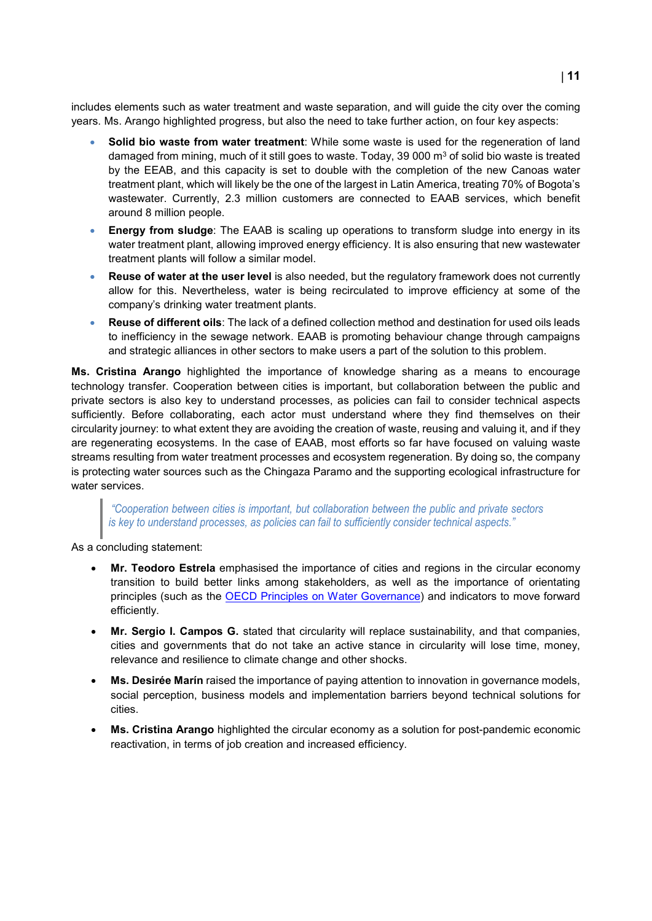includes elements such as water treatment and waste separation, and will guide the city over the coming years. Ms. Arango highlighted progress, but also the need to take further action, on four key aspects:

- **Solid bio waste from water treatment**: While some waste is used for the regeneration of land damaged from mining, much of it still goes to waste. Today, 39 000  $\text{m}^3$  of solid bio waste is treated by the EEAB, and this capacity is set to double with the completion of the new Canoas water treatment plant, which will likely be the one of the largest in Latin America, treating 70% of Bogota's wastewater. Currently, 2.3 million customers are connected to EAAB services, which benefit around 8 million people.
- **Energy from sludge**: The EAAB is scaling up operations to transform sludge into energy in its water treatment plant, allowing improved energy efficiency. It is also ensuring that new wastewater treatment plants will follow a similar model.
- **Reuse of water at the user level** is also needed, but the regulatory framework does not currently allow for this. Nevertheless, water is being recirculated to improve efficiency at some of the company's drinking water treatment plants.
- **Reuse of different oils**: The lack of a defined collection method and destination for used oils leads to inefficiency in the sewage network. EAAB is promoting behaviour change through campaigns and strategic alliances in other sectors to make users a part of the solution to this problem.

**Ms. Cristina Arango** highlighted the importance of knowledge sharing as a means to encourage technology transfer. Cooperation between cities is important, but collaboration between the public and private sectors is also key to understand processes, as policies can fail to consider technical aspects sufficiently. Before collaborating, each actor must understand where they find themselves on their circularity journey: to what extent they are avoiding the creation of waste, reusing and valuing it, and if they are regenerating ecosystems. In the case of EAAB, most efforts so far have focused on valuing waste streams resulting from water treatment processes and ecosystem regeneration. By doing so, the company is protecting water sources such as the Chingaza Paramo and the supporting ecological infrastructure for water services.

*"Cooperation between cities is important, but collaboration between the public and private sectors is key to understand processes, as policies can fail to sufficiently consider technical aspects."*

As a concluding statement:

- **Mr. Teodoro Estrela** emphasised the importance of cities and regions in the circular economy transition to build better links among stakeholders, as well as the importance of orientating principles (such as the **OECD Principles on Water Governance**) and indicators to move forward efficiently.
- **Mr. Sergio I. Campos G.** stated that circularity will replace sustainability, and that companies, cities and governments that do not take an active stance in circularity will lose time, money, relevance and resilience to climate change and other shocks.
- **Ms. Desirée Marín** raised the importance of paying attention to innovation in governance models, social perception, business models and implementation barriers beyond technical solutions for cities.
- **Ms. Cristina Arango** highlighted the circular economy as a solution for post-pandemic economic reactivation, in terms of job creation and increased efficiency.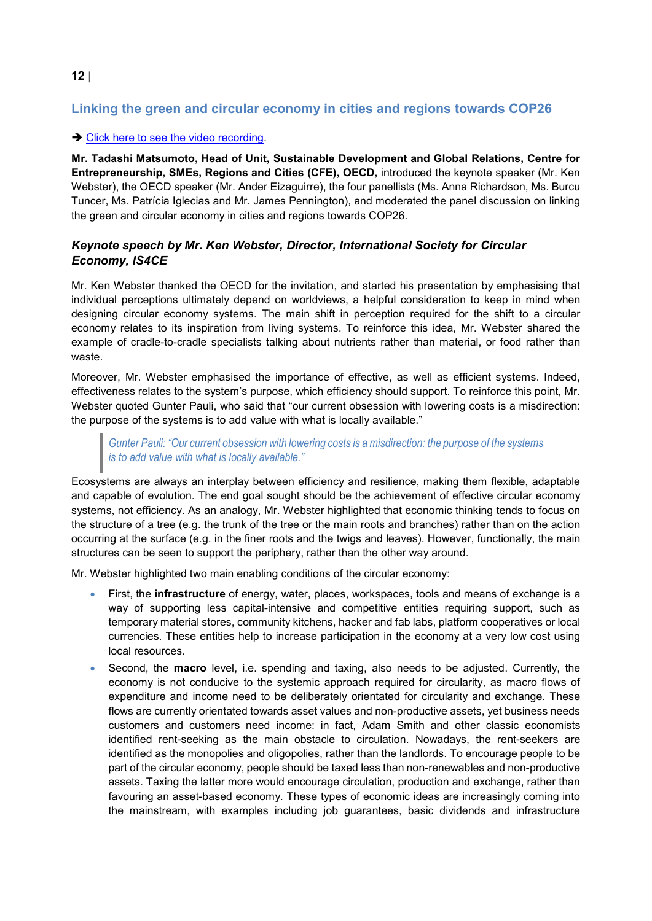### <span id="page-11-0"></span>**Linking the green and circular economy in cities and regions towards COP26**

### → [Click here to see the video recording.](https://www.youtube.com/watch?v=1UL_PE9VvuQ)

**Mr. Tadashi Matsumoto, Head of Unit, Sustainable Development and Global Relations, Centre for Entrepreneurship, SMEs, Regions and Cities (CFE), OECD,** introduced the keynote speaker (Mr. Ken Webster), the OECD speaker (Mr. Ander Eizaguirre), the four panellists (Ms. Anna Richardson, Ms. Burcu Tuncer, Ms. Patrícia Iglecias and Mr. James Pennington), and moderated the panel discussion on linking the green and circular economy in cities and regions towards COP26.

### *Keynote speech by Mr. Ken Webster, Director, International Society for Circular Economy, IS4CE*

Mr. Ken Webster thanked the OECD for the invitation, and started his presentation by emphasising that individual perceptions ultimately depend on worldviews, a helpful consideration to keep in mind when designing circular economy systems. The main shift in perception required for the shift to a circular economy relates to its inspiration from living systems. To reinforce this idea, Mr. Webster shared the example of cradle-to-cradle specialists talking about nutrients rather than material, or food rather than waste.

Moreover, Mr. Webster emphasised the importance of effective, as well as efficient systems. Indeed, effectiveness relates to the system's purpose, which efficiency should support. To reinforce this point, Mr. Webster quoted Gunter Pauli, who said that "our current obsession with lowering costs is a misdirection: the purpose of the systems is to add value with what is locally available."

*Gunter Pauli: "Our current obsession with lowering costs is a misdirection: the purpose of the systems is to add value with what is locally available."*

Ecosystems are always an interplay between efficiency and resilience, making them flexible, adaptable and capable of evolution. The end goal sought should be the achievement of effective circular economy systems, not efficiency. As an analogy, Mr. Webster highlighted that economic thinking tends to focus on the structure of a tree (e.g. the trunk of the tree or the main roots and branches) rather than on the action occurring at the surface (e.g. in the finer roots and the twigs and leaves). However, functionally, the main structures can be seen to support the periphery, rather than the other way around.

Mr. Webster highlighted two main enabling conditions of the circular economy:

- First, the **infrastructure** of energy, water, places, workspaces, tools and means of exchange is a way of supporting less capital-intensive and competitive entities requiring support, such as temporary material stores, community kitchens, hacker and fab labs, platform cooperatives or local currencies. These entities help to increase participation in the economy at a very low cost using local resources.
- Second, the **macro** level, i.e. spending and taxing, also needs to be adjusted. Currently, the economy is not conducive to the systemic approach required for circularity, as macro flows of expenditure and income need to be deliberately orientated for circularity and exchange. These flows are currently orientated towards asset values and non-productive assets, yet business needs customers and customers need income: in fact, Adam Smith and other classic economists identified rent-seeking as the main obstacle to circulation. Nowadays, the rent-seekers are identified as the monopolies and oligopolies, rather than the landlords. To encourage people to be part of the circular economy, people should be taxed less than non-renewables and non-productive assets. Taxing the latter more would encourage circulation, production and exchange, rather than favouring an asset-based economy. These types of economic ideas are increasingly coming into the mainstream, with examples including job guarantees, basic dividends and infrastructure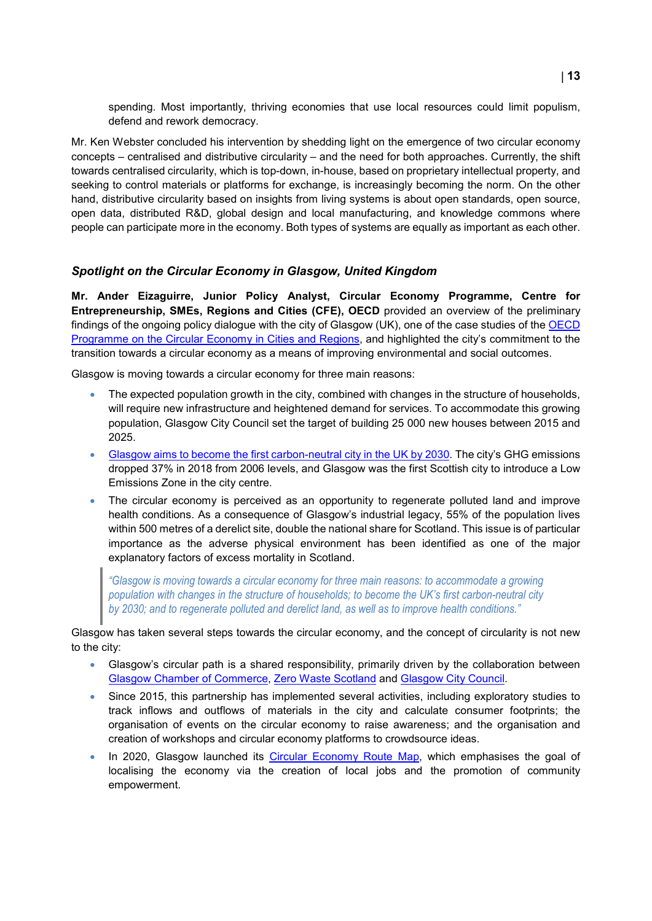spending. Most importantly, thriving economies that use local resources could limit populism, defend and rework democracy.

Mr. Ken Webster concluded his intervention by shedding light on the emergence of two circular economy concepts – centralised and distributive circularity – and the need for both approaches. Currently, the shift towards centralised circularity, which is top-down, in-house, based on proprietary intellectual property, and seeking to control materials or platforms for exchange, is increasingly becoming the norm. On the other hand, distributive circularity based on insights from living systems is about open standards, open source, open data, distributed R&D, global design and local manufacturing, and knowledge commons where people can participate more in the economy. Both types of systems are equally as important as each other.

### *Spotlight on the Circular Economy in Glasgow, United Kingdom*

**Mr. Ander Eizaguirre, Junior Policy Analyst, Circular Economy Programme, Centre for Entrepreneurship, SMEs, Regions and Cities (CFE), OECD** provided an overview of the preliminary findings of the ongoing policy dialogue with the city of Glasgow (UK), one of the case studies of the [OECD](https://www.oecd.org/regional/cities/circular-economy-cities.htm)  [Programme on the Circular Economy in Cities and Regions,](https://www.oecd.org/regional/cities/circular-economy-cities.htm) and highlighted the city's commitment to the transition towards a circular economy as a means of improving environmental and social outcomes.

Glasgow is moving towards a circular economy for three main reasons:

- The expected population growth in the city, combined with changes in the structure of households, will require new infrastructure and heightened demand for services. To accommodate this growing population, Glasgow City Council set the target of building 25 000 new houses between 2015 and 2025.
- [Glasgow aims to become the first carbon-neutral city in the UK by 2030.](https://www.glasgow.gov.uk/article/25066/Council-Sets-Target-Of-Carbon-Neutral-Glasgow-by-2030) The city's GHG emissions dropped 37% in 2018 from 2006 levels, and Glasgow was the first Scottish city to introduce a Low Emissions Zone in the city centre.
- The circular economy is perceived as an opportunity to regenerate polluted land and improve health conditions. As a consequence of Glasgow's industrial legacy, 55% of the population lives within 500 metres of a derelict site, double the national share for Scotland. This issue is of particular importance as the adverse physical environment has been identified as one of the major explanatory factors of excess mortality in Scotland.

*"Glasgow is moving towards a circular economy for three main reasons: to accommodate a growing population with changes in the structure of households; to become the UK's first carbon-neutral city by 2030; and to regenerate polluted and derelict land, as well as to improve health conditions."*

Glasgow has taken several steps towards the circular economy, and the concept of circularity is not new to the city:

- Glasgow's circular path is a shared responsibility, primarily driven by the collaboration between [Glasgow Chamber of Commerce,](https://www.glasgowchamberofcommerce.com/) [Zero Waste Scotland](https://www.zerowastescotland.org.uk/) and [Glasgow City Council.](https://www.glasgow.gov.uk/)
- Since 2015, this partnership has implemented several activities, including exploratory studies to track inflows and outflows of materials in the city and calculate consumer footprints; the organisation of events on the circular economy to raise awareness; and the organisation and creation of workshops and circular economy platforms to crowdsource ideas.
- In 2020, Glasgow launched its [Circular Economy Route Map,](https://www.glasgow.gov.uk/councillorsandcommittees/viewSelectedDocument.asp?c=P62AFQDNDX2UT1NTNT) which emphasises the goal of localising the economy via the creation of local jobs and the promotion of community empowerment.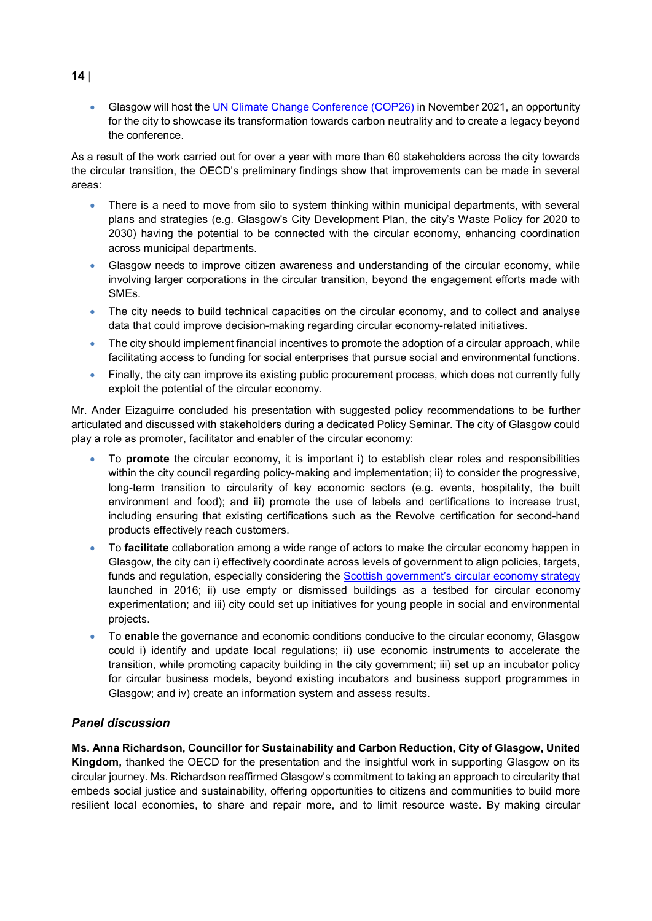• Glasgow will host the [UN Climate Change Conference \(COP26\)](https://ukcop26.org/) in November 2021, an opportunity for the city to showcase its transformation towards carbon neutrality and to create a legacy beyond the conference.

As a result of the work carried out for over a year with more than 60 stakeholders across the city towards the circular transition, the OECD's preliminary findings show that improvements can be made in several areas:

- There is a need to move from silo to system thinking within municipal departments, with several plans and strategies (e.g. Glasgow's City Development Plan, the city's Waste Policy for 2020 to 2030) having the potential to be connected with the circular economy, enhancing coordination across municipal departments.
- Glasgow needs to improve citizen awareness and understanding of the circular economy, while involving larger corporations in the circular transition, beyond the engagement efforts made with SMEs.
- The city needs to build technical capacities on the circular economy, and to collect and analyse data that could improve decision-making regarding circular economy-related initiatives.
- The city should implement financial incentives to promote the adoption of a circular approach, while facilitating access to funding for social enterprises that pursue social and environmental functions.
- Finally, the city can improve its existing public procurement process, which does not currently fully exploit the potential of the circular economy.

Mr. Ander Eizaguirre concluded his presentation with suggested policy recommendations to be further articulated and discussed with stakeholders during a dedicated Policy Seminar. The city of Glasgow could play a role as promoter, facilitator and enabler of the circular economy:

- To **promote** the circular economy, it is important i) to establish clear roles and responsibilities within the city council regarding policy-making and implementation; ii) to consider the progressive, long-term transition to circularity of key economic sectors (e.g. events, hospitality, the built environment and food); and iii) promote the use of labels and certifications to increase trust, including ensuring that existing certifications such as the Revolve certification for second-hand products effectively reach customers.
- To **facilitate** collaboration among a wide range of actors to make the circular economy happen in Glasgow, the city can i) effectively coordinate across levels of government to align policies, targets, funds and regulation, especially considering the **Scottish government's circular economy strategy** launched in 2016; ii) use empty or dismissed buildings as a testbed for circular economy experimentation; and iii) city could set up initiatives for young people in social and environmental projects.
- To **enable** the governance and economic conditions conducive to the circular economy, Glasgow could i) identify and update local regulations; ii) use economic instruments to accelerate the transition, while promoting capacity building in the city government; iii) set up an incubator policy for circular business models, beyond existing incubators and business support programmes in Glasgow; and iv) create an information system and assess results.

### *Panel discussion*

**Ms. Anna Richardson, Councillor for Sustainability and Carbon Reduction, City of Glasgow, United Kingdom,** thanked the OECD for the presentation and the insightful work in supporting Glasgow on its circular journey. Ms. Richardson reaffirmed Glasgow's commitment to taking an approach to circularity that embeds social justice and sustainability, offering opportunities to citizens and communities to build more resilient local economies, to share and repair more, and to limit resource waste. By making circular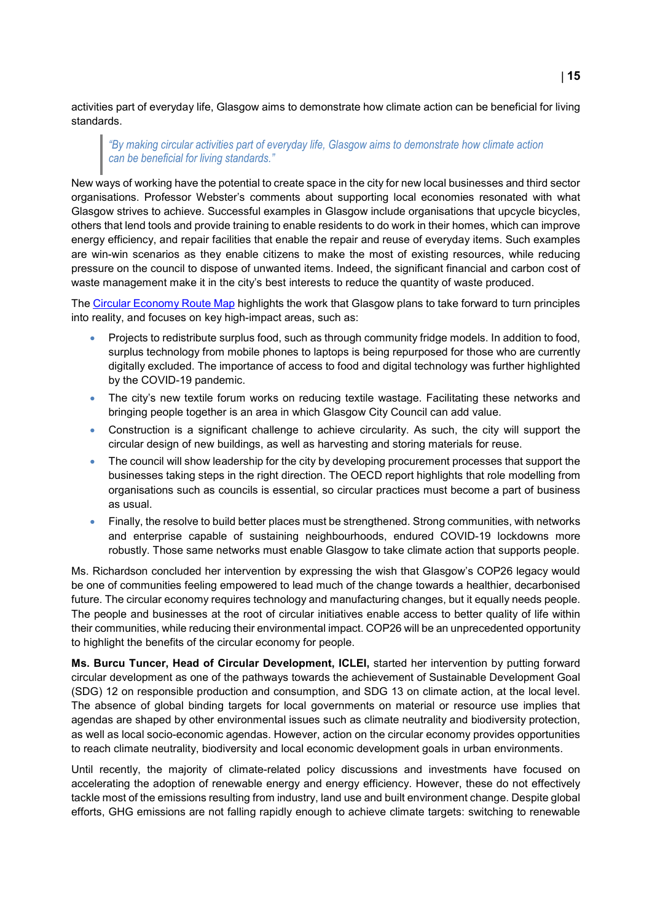activities part of everyday life, Glasgow aims to demonstrate how climate action can be beneficial for living standards.

### *"By making circular activities part of everyday life, Glasgow aims to demonstrate how climate action can be beneficial for living standards."*

New ways of working have the potential to create space in the city for new local businesses and third sector organisations. Professor Webster's comments about supporting local economies resonated with what Glasgow strives to achieve. Successful examples in Glasgow include organisations that upcycle bicycles, others that lend tools and provide training to enable residents to do work in their homes, which can improve energy efficiency, and repair facilities that enable the repair and reuse of everyday items. Such examples are win-win scenarios as they enable citizens to make the most of existing resources, while reducing pressure on the council to dispose of unwanted items. Indeed, the significant financial and carbon cost of waste management make it in the city's best interests to reduce the quantity of waste produced.

The [Circular Economy Route Map](https://www.glasgow.gov.uk/councillorsandcommittees/viewSelectedDocument.asp?c=P62AFQDNDX2UT1NTNT) highlights the work that Glasgow plans to take forward to turn principles into reality, and focuses on key high-impact areas, such as:

- Projects to redistribute surplus food, such as through community fridge models. In addition to food, surplus technology from mobile phones to laptops is being repurposed for those who are currently digitally excluded. The importance of access to food and digital technology was further highlighted by the COVID-19 pandemic.
- The city's new textile forum works on reducing textile wastage. Facilitating these networks and bringing people together is an area in which Glasgow City Council can add value.
- Construction is a significant challenge to achieve circularity. As such, the city will support the circular design of new buildings, as well as harvesting and storing materials for reuse.
- The council will show leadership for the city by developing procurement processes that support the businesses taking steps in the right direction. The OECD report highlights that role modelling from organisations such as councils is essential, so circular practices must become a part of business as usual.
- Finally, the resolve to build better places must be strengthened. Strong communities, with networks and enterprise capable of sustaining neighbourhoods, endured COVID-19 lockdowns more robustly. Those same networks must enable Glasgow to take climate action that supports people.

Ms. Richardson concluded her intervention by expressing the wish that Glasgow's COP26 legacy would be one of communities feeling empowered to lead much of the change towards a healthier, decarbonised future. The circular economy requires technology and manufacturing changes, but it equally needs people. The people and businesses at the root of circular initiatives enable access to better quality of life within their communities, while reducing their environmental impact. COP26 will be an unprecedented opportunity to highlight the benefits of the circular economy for people.

**Ms. Burcu Tuncer, Head of Circular Development, ICLEI,** started her intervention by putting forward circular development as one of the pathways towards the achievement of Sustainable Development Goal (SDG) 12 on responsible production and consumption, and SDG 13 on climate action, at the local level. The absence of global binding targets for local governments on material or resource use implies that agendas are shaped by other environmental issues such as climate neutrality and biodiversity protection, as well as local socio-economic agendas. However, action on the circular economy provides opportunities to reach climate neutrality, biodiversity and local economic development goals in urban environments.

Until recently, the majority of climate-related policy discussions and investments have focused on accelerating the adoption of renewable energy and energy efficiency. However, these do not effectively tackle most of the emissions resulting from industry, land use and built environment change. Despite global efforts, GHG emissions are not falling rapidly enough to achieve climate targets: switching to renewable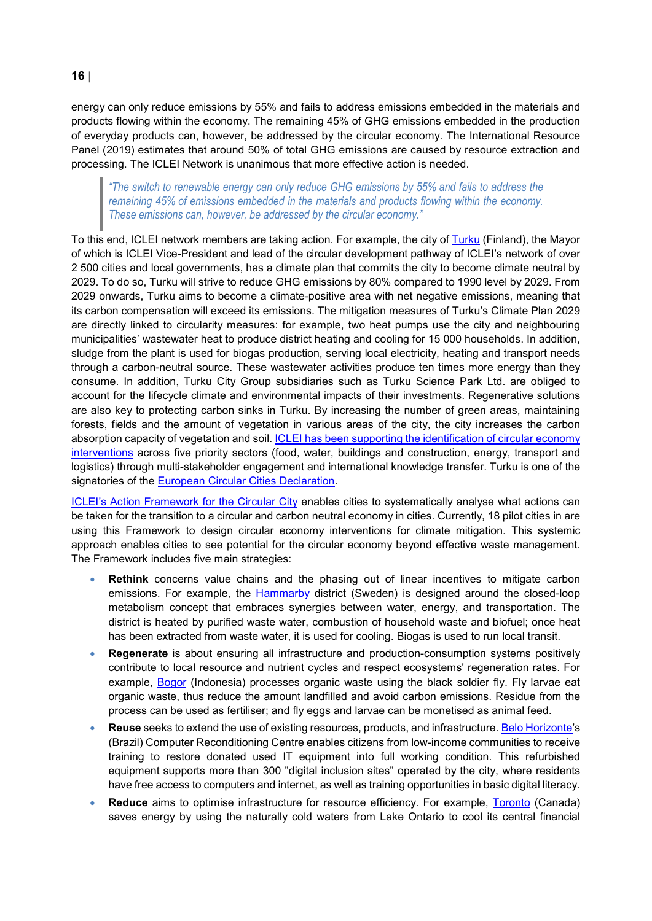**16** |

energy can only reduce emissions by 55% and fails to address emissions embedded in the materials and products flowing within the economy. The remaining 45% of GHG emissions embedded in the production of everyday products can, however, be addressed by the circular economy. The International Resource Panel (2019) estimates that around 50% of total GHG emissions are caused by resource extraction and processing. The ICLEI Network is unanimous that more effective action is needed.

*"The switch to renewable energy can only reduce GHG emissions by 55% and fails to address the remaining 45% of emissions embedded in the materials and products flowing within the economy. These emissions can, however, be addressed by the circular economy."*

To this end, ICLEI network members are taking action. For example, the city of [Turku](https://www.turku.fi/en/carbon-neutral-turku/circular-turku) (Finland), the Mayor of which is ICLEI Vice-President and lead of the circular development pathway of ICLEI's network of over 2 500 cities and local governments, has a climate plan that commits the city to become climate neutral by 2029. To do so, Turku will strive to reduce GHG emissions by 80% compared to 1990 level by 2029. From 2029 onwards, Turku aims to become a climate-positive area with net negative emissions, meaning that its carbon compensation will exceed its emissions. The mitigation measures of Turku's Climate Plan 2029 are directly linked to circularity measures: for example, two heat pumps use the city and neighbouring municipalities' wastewater heat to produce district heating and cooling for 15 000 households. In addition, sludge from the plant is used for biogas production, serving local electricity, heating and transport needs through a carbon-neutral source. These wastewater activities produce ten times more energy than they consume. In addition, Turku City Group subsidiaries such as Turku Science Park Ltd. are obliged to account for the lifecycle climate and environmental impacts of their investments. Regenerative solutions are also key to protecting carbon sinks in Turku. By increasing the number of green areas, maintaining forests, fields and the amount of vegetation in various areas of the city, the city increases the carbon absorption capacity of vegetation and soil. ICLEI has been supporting the identification of circular economy [interventions](https://www.iclei.org/en/Circular_Turku.html) across five priority sectors (food, water, buildings and construction, energy, transport and logistics) through multi-stakeholder engagement and international knowledge transfer. Turku is one of the signatories of the [European Circular Cities Declaration.](https://circularcitiesdeclaration.eu/)

[ICLEI's Action Framework for the Circular City](https://circulars.iclei.org/action-framework/) enables cities to systematically analyse what actions can be taken for the transition to a circular and carbon neutral economy in cities. Currently, 18 pilot cities in are using this Framework to design circular economy interventions for climate mitigation. This systemic approach enables cities to see potential for the circular economy beyond effective waste management. The Framework includes five main strategies:

- **Rethink** concerns value chains and the phasing out of linear incentives to mitigate carbon [e](https://www.urbangreenbluegrids.com/projects/hammarby-sjostad-stockholm-sweden/)missions. For example, the **[Hammarby](https://www.urbangreenbluegrids.com/projects/hammarby-sjostad-stockholm-sweden/) district** (Sweden) is designed around the closed-loop metabolism concept that embraces synergies between water, energy, and transportation. The district is heated by purified waste water, combustion of household waste and biofuel; once heat has been extracted from waste water, it is used for cooling. Biogas is used to run local transit.
- **Regenerate** is about ensuring all infrastructure and production-consumption systems positively contribute to local resource and nutrient cycles and respect ecosystems' regeneration rates. For example, [Bogor](https://circulars.iclei.org/wp-content/uploads/2021/03/Bogor_ICLEI-Circulars-case-study_Final-2.pdf) (Indonesia) processes organic waste using the black soldier fly. Fly larvae eat organic waste, thus reduce the amount landfilled and avoid carbon emissions. Residue from the process can be used as fertiliser; and fly eggs and larvae can be monetised as animal feed.
- **Reuse** seeks to extend the use of existing resources, products, and infrastructure. [Belo Horizonte'](https://www.ellenmacarthurfoundation.org/assets/downloads/Belo_Horizonte_-Case-Study_Mar19.pdf)s (Brazil) Computer Reconditioning Centre enables citizens from low-income communities to receive training to restore donated used IT equipment into full working condition. This refurbished equipment supports more than 300 "digital inclusion sites" operated by the city, where residents have free access to computers and internet, as well as training opportunities in basic digital literacy.
- **Reduce** aims to optimise infrastructure for resource efficiency. For example, [Toronto](https://www.enwave.com/locations/toronto.htm) (Canada) saves energy by using the naturally cold waters from Lake Ontario to cool its central financial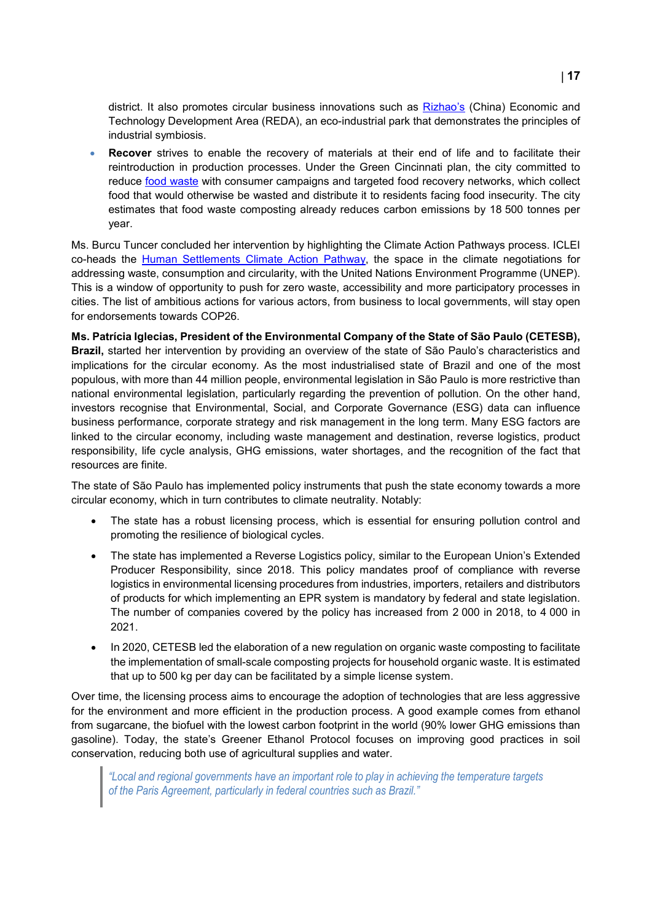district. It also promotes circular business innovations such as [Rizhao's](https://sustainabledevelopment.un.org/content/documents/6089GSDR%20Brief%2031CN.pdf) (China) Economic and Technology Development Area (REDA), an eco-industrial park that demonstrates the principles of industrial symbiosis.

**Recover** strives to enable the recovery of materials at their end of life and to facilitate their reintroduction in production processes. Under the Green Cincinnati plan, the city committed to reduce [food waste](https://circulars.iclei.org/food-systems-handbook/) with consumer campaigns and targeted food recovery networks, which collect food that would otherwise be wasted and distribute it to residents facing food insecurity. The city estimates that food waste composting already reduces carbon emissions by 18 500 tonnes per year.

Ms. Burcu Tuncer concluded her intervention by highlighting the Climate Action Pathways process. ICLEI co-heads the [Human Settlements Climate Action Pathway,](https://unfccc.int/climate-action/marrakech-partnership/reporting-tracking/pathways/human-settlements-climate-action-pathway#eq-1) the space in the climate negotiations for addressing waste, consumption and circularity, with the United Nations Environment Programme (UNEP). This is a window of opportunity to push for zero waste, accessibility and more participatory processes in cities. The list of ambitious actions for various actors, from business to local governments, will stay open for endorsements towards COP26.

**Ms. Patrícia Iglecias, President of the Environmental Company of the State of São Paulo (CETESB), Brazil,** started her intervention by providing an overview of the state of São Paulo's characteristics and implications for the circular economy. As the most industrialised state of Brazil and one of the most populous, with more than 44 million people, environmental legislation in São Paulo is more restrictive than national environmental legislation, particularly regarding the prevention of pollution. On the other hand, investors recognise that Environmental, Social, and Corporate Governance (ESG) data can influence business performance, corporate strategy and risk management in the long term. Many ESG factors are linked to the circular economy, including waste management and destination, reverse logistics, product responsibility, life cycle analysis, GHG emissions, water shortages, and the recognition of the fact that resources are finite.

The state of São Paulo has implemented policy instruments that push the state economy towards a more circular economy, which in turn contributes to climate neutrality. Notably:

- The state has a robust licensing process, which is essential for ensuring pollution control and promoting the resilience of biological cycles.
- The state has implemented a Reverse Logistics policy, similar to the European Union's Extended Producer Responsibility, since 2018. This policy mandates proof of compliance with reverse logistics in environmental licensing procedures from industries, importers, retailers and distributors of products for which implementing an EPR system is mandatory by federal and state legislation. The number of companies covered by the policy has increased from 2 000 in 2018, to 4 000 in 2021.
- In 2020, CETESB led the elaboration of a new regulation on organic waste composting to facilitate the implementation of small-scale composting projects for household organic waste. It is estimated that up to 500 kg per day can be facilitated by a simple license system.

Over time, the licensing process aims to encourage the adoption of technologies that are less aggressive for the environment and more efficient in the production process. A good example comes from ethanol from sugarcane, the biofuel with the lowest carbon footprint in the world (90% lower GHG emissions than gasoline). Today, the state's Greener Ethanol Protocol focuses on improving good practices in soil conservation, reducing both use of agricultural supplies and water.

*"Local and regional governments have an important role to play in achieving the temperature targets of the Paris Agreement, particularly in federal countries such as Brazil."*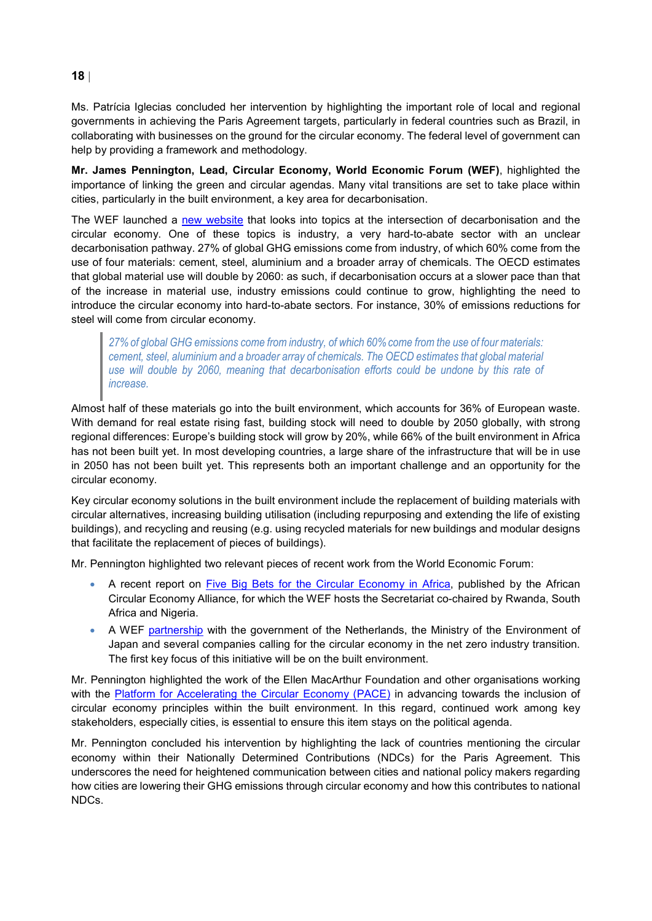Ms. Patrícia Iglecias concluded her intervention by highlighting the important role of local and regional governments in achieving the Paris Agreement targets, particularly in federal countries such as Brazil, in collaborating with businesses on the ground for the circular economy. The federal level of government can help by providing a framework and methodology.

**Mr. James Pennington, Lead, Circular Economy, World Economic Forum (WEF)**, highlighted the importance of linking the green and circular agendas. Many vital transitions are set to take place within cities, particularly in the built environment, a key area for decarbonisation.

The WEF launched a [new website](https://ceclimate.weforum.org/) that looks into topics at the intersection of decarbonisation and the circular economy. One of these topics is industry, a very hard-to-abate sector with an unclear decarbonisation pathway. 27% of global GHG emissions come from industry, of which 60% come from the use of four materials: cement, steel, aluminium and a broader array of chemicals. The OECD estimates that global material use will double by 2060: as such, if decarbonisation occurs at a slower pace than that of the increase in material use, industry emissions could continue to grow, highlighting the need to introduce the circular economy into hard-to-abate sectors. For instance, 30% of emissions reductions for steel will come from circular economy.

*27% of global GHG emissions come from industry, of which 60% come from the use of four materials: cement, steel, aluminium and a broader array of chemicals. The OECD estimates that global material use will double by 2060, meaning that decarbonisation efforts could be undone by this rate of increase.*

Almost half of these materials go into the built environment, which accounts for 36% of European waste. With demand for real estate rising fast, building stock will need to double by 2050 globally, with strong regional differences: Europe's building stock will grow by 20%, while 66% of the built environment in Africa has not been built yet. In most developing countries, a large share of the infrastructure that will be in use in 2050 has not been built yet. This represents both an important challenge and an opportunity for the circular economy.

Key circular economy solutions in the built environment include the replacement of building materials with circular alternatives, increasing building utilisation (including repurposing and extending the life of existing buildings), and recycling and reusing (e.g. using recycled materials for new buildings and modular designs that facilitate the replacement of pieces of buildings).

Mr. Pennington highlighted two relevant pieces of recent work from the World Economic Forum:

- A recent report on [Five Big Bets for the Circular Economy in Africa,](https://www.weforum.org/reports/five-big-bets-for-the-circular-economy-in-africa-african-circular-economy-alliance) published by the African Circular Economy Alliance, for which the WEF hosts the Secretariat co-chaired by Rwanda, South Africa and Nigeria.
- A WEF [partnership](https://www.weforum.org/agenda/2021/02/from-ambition-to-action-japan-circular-economy-roundtable/) with the government of the Netherlands, the Ministry of the Environment of Japan and several companies calling for the circular economy in the net zero industry transition. The first key focus of this initiative will be on the built environment.

Mr. Pennington highlighted the work of the Ellen MacArthur Foundation and other organisations working with the [Platform for Accelerating the Circular Economy \(PACE\)](https://pacecircular.org/) in advancing towards the inclusion of circular economy principles within the built environment. In this regard, continued work among key stakeholders, especially cities, is essential to ensure this item stays on the political agenda.

Mr. Pennington concluded his intervention by highlighting the lack of countries mentioning the circular economy within their Nationally Determined Contributions (NDCs) for the Paris Agreement. This underscores the need for heightened communication between cities and national policy makers regarding how cities are lowering their GHG emissions through circular economy and how this contributes to national NDCs.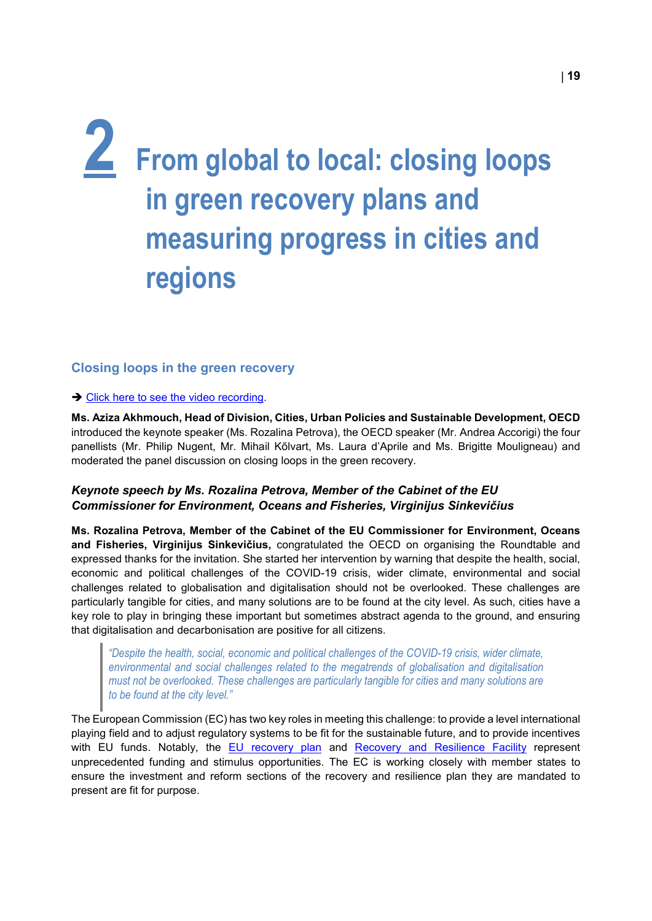## <span id="page-18-0"></span>**2 From global to local: closing loops in green recovery plans and measuring progress in cities and regions**

### <span id="page-18-1"></span>**Closing loops in the green recovery**

#### → [Click here to see the video recording.](https://www.youtube.com/watch?v=zY73cp3gUzA)

**Ms. Aziza Akhmouch, Head of Division, Cities, Urban Policies and Sustainable Development, OECD**  introduced the keynote speaker (Ms. Rozalina Petrova), the OECD speaker (Mr. Andrea Accorigi) the four panellists (Mr. Philip Nugent, Mr. Mihail Kõlvart, Ms. Laura d'Aprile and Ms. Brigitte Mouligneau) and moderated the panel discussion on closing loops in the green recovery.

### *Keynote speech by Ms. Rozalina Petrova, Member of the Cabinet of the EU Commissioner for Environment, Oceans and Fisheries, Virginijus Sinkevičius*

**Ms. Rozalina Petrova, Member of the Cabinet of the EU Commissioner for Environment, Oceans and Fisheries, Virginijus Sinkevičius,** congratulated the OECD on organising the Roundtable and expressed thanks for the invitation. She started her intervention by warning that despite the health, social, economic and political challenges of the COVID-19 crisis, wider climate, environmental and social challenges related to globalisation and digitalisation should not be overlooked. These challenges are particularly tangible for cities, and many solutions are to be found at the city level. As such, cities have a key role to play in bringing these important but sometimes abstract agenda to the ground, and ensuring that digitalisation and decarbonisation are positive for all citizens.

*"Despite the health, social, economic and political challenges of the COVID-19 crisis, wider climate, environmental and social challenges related to the megatrends of globalisation and digitalisation must not be overlooked. These challenges are particularly tangible for cities and many solutions are to be found at the city level."*

The European Commission (EC) has two key roles in meeting this challenge: to provide a level international playing field and to adjust regulatory systems to be fit for the sustainable future, and to provide incentives with EU funds. Notably, the [EU recovery plan](https://ec.europa.eu/info/strategy/recovery-plan-europe_en) and [Recovery and Resilience Facility](https://www.consilium.europa.eu/en/policies/eu-recovery-plan/#:%7E:text=The%20new%20Recovery%20and%20Resilience,loans%3A%20%E2%82%AC360%20billion) represent unprecedented funding and stimulus opportunities. The EC is working closely with member states to ensure the investment and reform sections of the recovery and resilience plan they are mandated to present are fit for purpose.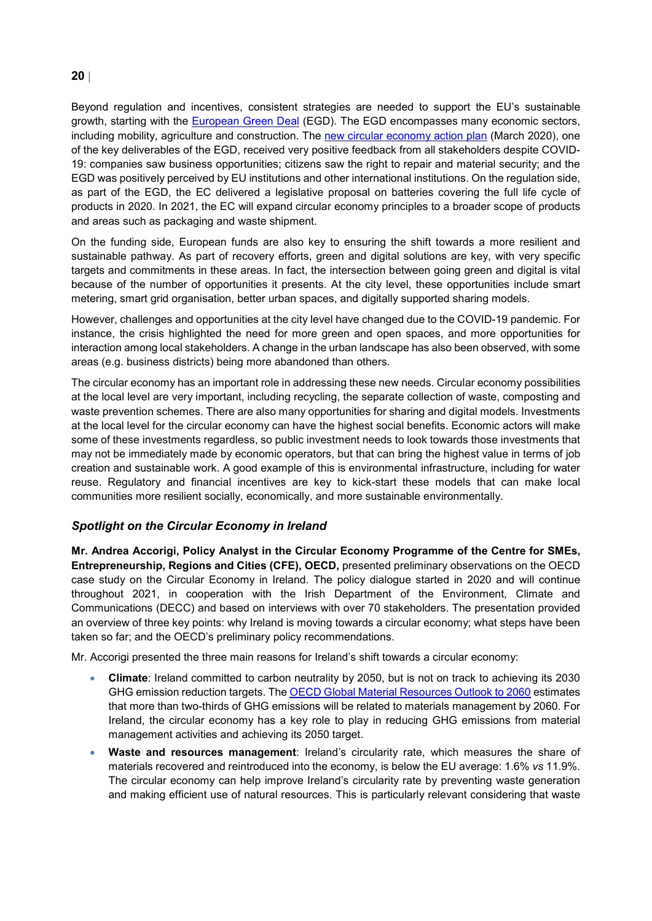### **20** |

Beyond regulation and incentives, consistent strategies are needed to support the EU's sustainable growth, starting with the **European Green Deal** (EGD). The EGD encompasses many economic sectors, including mobility, agriculture and construction. The [new circular economy action plan](https://ec.europa.eu/environment/strategy/circular-economy-action-plan_en) (March 2020), one of the key deliverables of the EGD, received very positive feedback from all stakeholders despite COVID-19: companies saw business opportunities; citizens saw the right to repair and material security; and the EGD was positively perceived by EU institutions and other international institutions. On the regulation side, as part of the EGD, the EC delivered a legislative proposal on batteries covering the full life cycle of products in 2020. In 2021, the EC will expand circular economy principles to a broader scope of products and areas such as packaging and waste shipment.

On the funding side, European funds are also key to ensuring the shift towards a more resilient and sustainable pathway. As part of recovery efforts, green and digital solutions are key, with very specific targets and commitments in these areas. In fact, the intersection between going green and digital is vital because of the number of opportunities it presents. At the city level, these opportunities include smart metering, smart grid organisation, better urban spaces, and digitally supported sharing models.

However, challenges and opportunities at the city level have changed due to the COVID-19 pandemic. For instance, the crisis highlighted the need for more green and open spaces, and more opportunities for interaction among local stakeholders. A change in the urban landscape has also been observed, with some areas (e.g. business districts) being more abandoned than others.

The circular economy has an important role in addressing these new needs. Circular economy possibilities at the local level are very important, including recycling, the separate collection of waste, composting and waste prevention schemes. There are also many opportunities for sharing and digital models. Investments at the local level for the circular economy can have the highest social benefits. Economic actors will make some of these investments regardless, so public investment needs to look towards those investments that may not be immediately made by economic operators, but that can bring the highest value in terms of job creation and sustainable work. A good example of this is environmental infrastructure, including for water reuse. Regulatory and financial incentives are key to kick-start these models that can make local communities more resilient socially, economically, and more sustainable environmentally.

### *Spotlight on the Circular Economy in Ireland*

**Mr. Andrea Accorigi, Policy Analyst in the Circular Economy Programme of the Centre for SMEs, Entrepreneurship, Regions and Cities (CFE), OECD,** presented preliminary observations on the OECD case study on the Circular Economy in Ireland. The policy dialogue started in 2020 and will continue throughout 2021, in cooperation with the Irish Department of the Environment, Climate and Communications (DECC) and based on interviews with over 70 stakeholders. The presentation provided an overview of three key points: why Ireland is moving towards a circular economy; what steps have been taken so far; and the OECD's preliminary policy recommendations.

Mr. Accorigi presented the three main reasons for Ireland's shift towards a circular economy:

- **Climate**: Ireland committed to carbon neutrality by 2050, but is not on track to achieving its 2030 GHG emission reduction targets. The [OECD Global Material Resources Outlook to 2060](https://www.oecd.org/environment/global-material-resources-outlook-to-2060-9789264307452-en.htm) estimates that more than two-thirds of GHG emissions will be related to materials management by 2060. For Ireland, the circular economy has a key role to play in reducing GHG emissions from material management activities and achieving its 2050 target.
- **Waste and resources management**: Ireland's circularity rate, which measures the share of materials recovered and reintroduced into the economy, is below the EU average: 1.6% *vs* 11.9%. The circular economy can help improve Ireland's circularity rate by preventing waste generation and making efficient use of natural resources. This is particularly relevant considering that waste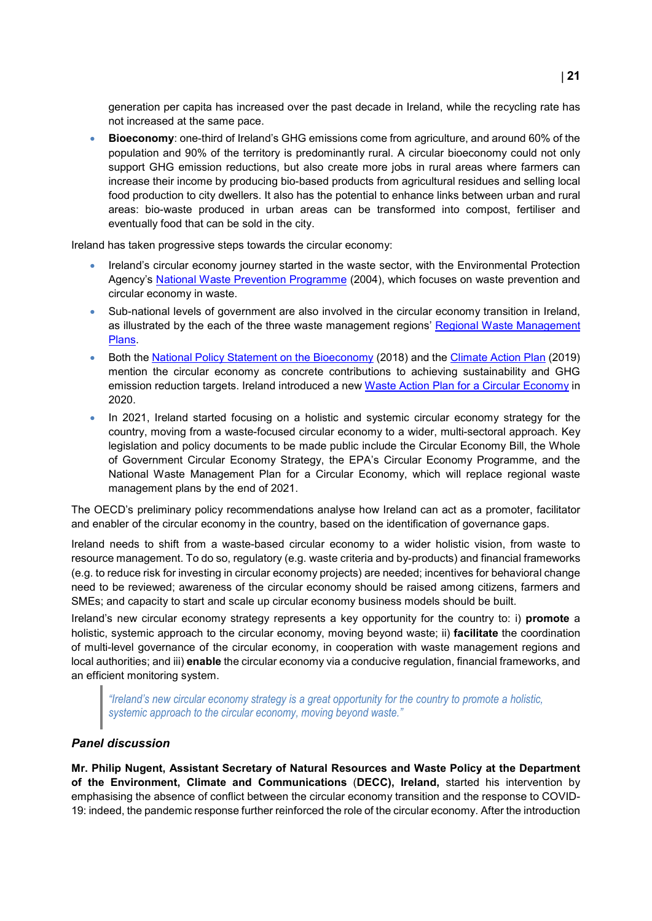generation per capita has increased over the past decade in Ireland, while the recycling rate has not increased at the same pace.

• **Bioeconomy**: one-third of Ireland's GHG emissions come from agriculture, and around 60% of the population and 90% of the territory is predominantly rural. A circular bioeconomy could not only support GHG emission reductions, but also create more jobs in rural areas where farmers can increase their income by producing bio-based products from agricultural residues and selling local food production to city dwellers. It also has the potential to enhance links between urban and rural areas: bio-waste produced in urban areas can be transformed into compost, fertiliser and eventually food that can be sold in the city.

Ireland has taken progressive steps towards the circular economy:

- Ireland's circular economy journey started in the waste sector, with the Environmental Protection Agency's [National Waste Prevention Programme](https://www.epa.ie/publications/circular-economy/resources/national-waste-prevention-programme--annual-report-2019.php) (2004), which focuses on waste prevention and circular economy in waste.
- Sub-national levels of government are also involved in the circular economy transition in Ireland, as illustrated by the each of the three waste management regions' [Regional Waste Management](https://www.gov.ie/en/publication/fde64-regional-waste-management-plans/)  [Plans.](https://www.gov.ie/en/publication/fde64-regional-waste-management-plans/)
- Both the [National Policy Statement on the Bioeconomy](https://assets.gov.ie/2244/241018115730-41d795e366bf4000a6bc0b69a136bda4.pdf) (2018) and the [Climate Action Plan](https://www.gov.ie/en/publication/ccb2e0-the-climate-action-plan-2019/) (2019) mention the circular economy as concrete contributions to achieving sustainability and GHG emission reduction targets. Ireland introduced a new [Waste Action Plan for a Circular Economy](https://www.gov.ie/en/publication/4221c-waste-action-plan-for-a-circular-economy/) in 2020.
- In 2021, Ireland started focusing on a holistic and systemic circular economy strategy for the country, moving from a waste-focused circular economy to a wider, multi-sectoral approach. Key legislation and policy documents to be made public include the Circular Economy Bill, the Whole of Government Circular Economy Strategy, the EPA's Circular Economy Programme, and the National Waste Management Plan for a Circular Economy, which will replace regional waste management plans by the end of 2021.

The OECD's preliminary policy recommendations analyse how Ireland can act as a promoter, facilitator and enabler of the circular economy in the country, based on the identification of governance gaps.

Ireland needs to shift from a waste-based circular economy to a wider holistic vision, from waste to resource management. To do so, regulatory (e.g. waste criteria and by-products) and financial frameworks (e.g. to reduce risk for investing in circular economy projects) are needed; incentives for behavioral change need to be reviewed; awareness of the circular economy should be raised among citizens, farmers and SMEs; and capacity to start and scale up circular economy business models should be built.

Ireland's new circular economy strategy represents a key opportunity for the country to: i) **promote** a holistic, systemic approach to the circular economy, moving beyond waste; ii) **facilitate** the coordination of multi-level governance of the circular economy, in cooperation with waste management regions and local authorities; and iii) **enable** the circular economy via a conducive regulation, financial frameworks, and an efficient monitoring system.

*"Ireland's new circular economy strategy is a great opportunity for the country to promote a holistic, systemic approach to the circular economy, moving beyond waste."*

### *Panel discussion*

**Mr. Philip Nugent, Assistant Secretary of Natural Resources and Waste Policy at the Department of the Environment, Climate and Communications** (**DECC), Ireland,** started his intervention by emphasising the absence of conflict between the circular economy transition and the response to COVID-19: indeed, the pandemic response further reinforced the role of the circular economy. After the introduction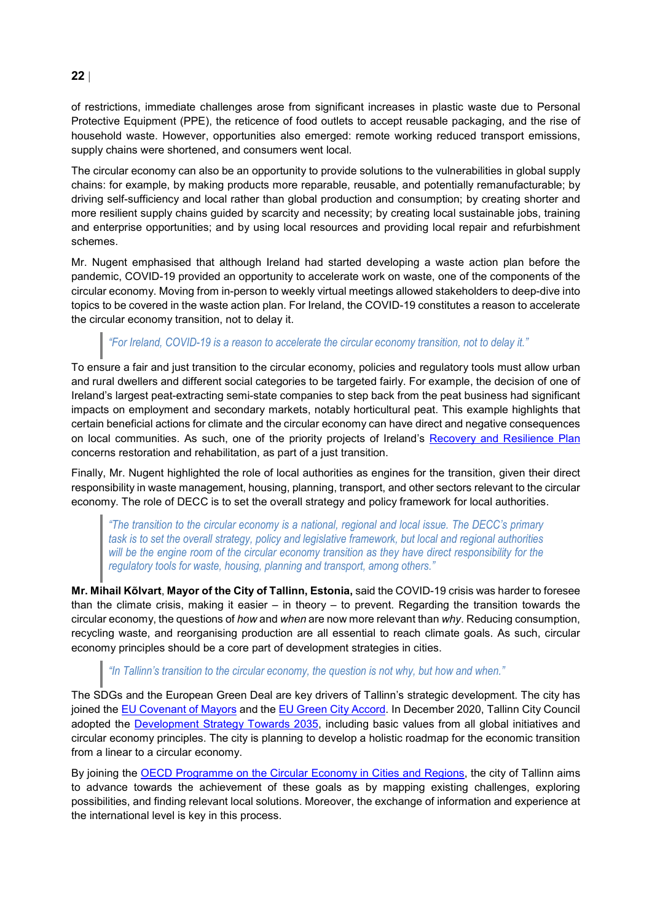of restrictions, immediate challenges arose from significant increases in plastic waste due to Personal Protective Equipment (PPE), the reticence of food outlets to accept reusable packaging, and the rise of household waste. However, opportunities also emerged: remote working reduced transport emissions, supply chains were shortened, and consumers went local.

The circular economy can also be an opportunity to provide solutions to the vulnerabilities in global supply chains: for example, by making products more reparable, reusable, and potentially remanufacturable; by driving self-sufficiency and local rather than global production and consumption; by creating shorter and more resilient supply chains guided by scarcity and necessity; by creating local sustainable jobs, training and enterprise opportunities; and by using local resources and providing local repair and refurbishment schemes.

Mr. Nugent emphasised that although Ireland had started developing a waste action plan before the pandemic, COVID-19 provided an opportunity to accelerate work on waste, one of the components of the circular economy. Moving from in-person to weekly virtual meetings allowed stakeholders to deep-dive into topics to be covered in the waste action plan. For Ireland, the COVID-19 constitutes a reason to accelerate the circular economy transition, not to delay it.

### *"For Ireland, COVID-19 is a reason to accelerate the circular economy transition, not to delay it."*

To ensure a fair and just transition to the circular economy, policies and regulatory tools must allow urban and rural dwellers and different social categories to be targeted fairly. For example, the decision of one of Ireland's largest peat-extracting semi-state companies to step back from the peat business had significant impacts on employment and secondary markets, notably horticultural peat. This example highlights that certain beneficial actions for climate and the circular economy can have direct and negative consequences on local communities. As such, one of the priority projects of Ireland's [Recovery and Resilience Plan](https://www.gov.ie/en/publication/d4939-national-recovery-and-resilience-plan-2021/#:%7E:text=The%20overall%20objective%20of%20Ireland) concerns restoration and rehabilitation, as part of a just transition.

Finally, Mr. Nugent highlighted the role of local authorities as engines for the transition, given their direct responsibility in waste management, housing, planning, transport, and other sectors relevant to the circular economy. The role of DECC is to set the overall strategy and policy framework for local authorities.

*"The transition to the circular economy is a national, regional and local issue. The DECC's primary task is to set the overall strategy, policy and legislative framework, but local and regional authorities will be the engine room of the circular economy transition as they have direct responsibility for the regulatory tools for waste, housing, planning and transport, among others."*

**Mr. Mihail Kõlvart**, **Mayor of the City of Tallinn, Estonia,** said the COVID-19 crisis was harder to foresee than the climate crisis, making it easier – in theory – to prevent. Regarding the transition towards the circular economy, the questions of *how* and *when* are now more relevant than *why*. Reducing consumption, recycling waste, and reorganising production are all essential to reach climate goals. As such, circular economy principles should be a core part of development strategies in cities.

### *"In Tallinn's transition to the circular economy, the question is not why, but how and when."*

The SDGs and the European Green Deal are key drivers of Tallinn's strategic development. The city has joined the [EU Covenant of Mayors](https://www.covenantofmayors.eu/) and th[e EU Green City Accord.](https://ec.europa.eu/environment/topics/urban-environment/green-city-accord_en) In December 2020, Tallinn City Council adopted the [Development Strategy Towards 2035,](https://www.tallinn.ee/eng/Uudis-Tallinn-2035-development-strategy-sets-ambitious-targets-for-the-city) including basic values from all global initiatives and circular economy principles. The city is planning to develop a holistic roadmap for the economic transition from a linear to a circular economy.

By joining the [OECD Programme on the Circular Economy in Cities and Regions,](https://www.oecd.org/regional/cities/circular-economy-cities.htm) the city of Tallinn aims to advance towards the achievement of these goals as by mapping existing challenges, exploring possibilities, and finding relevant local solutions. Moreover, the exchange of information and experience at the international level is key in this process.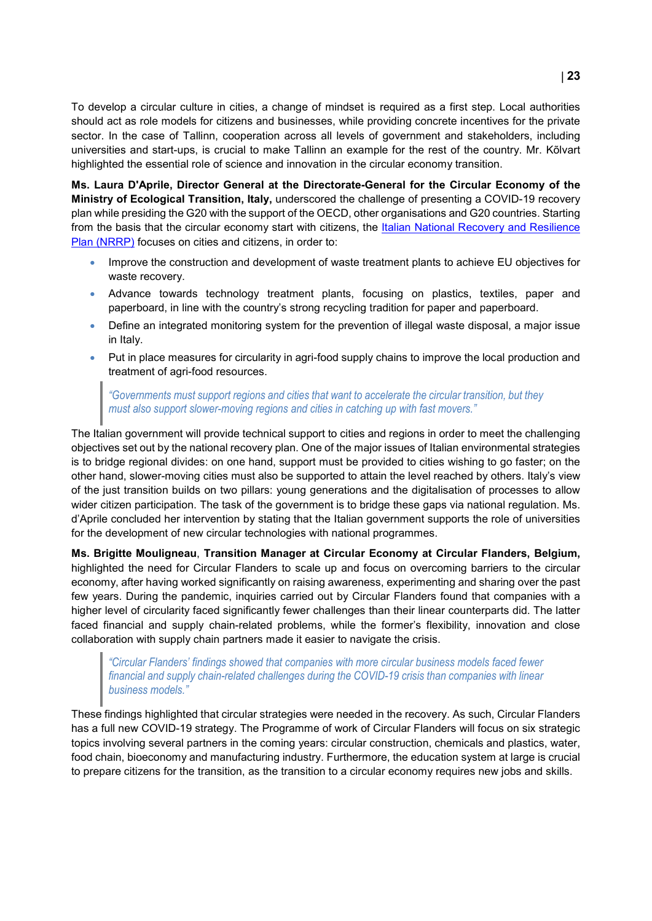To develop a circular culture in cities, a change of mindset is required as a first step. Local authorities should act as role models for citizens and businesses, while providing concrete incentives for the private sector. In the case of Tallinn, cooperation across all levels of government and stakeholders, including universities and start-ups, is crucial to make Tallinn an example for the rest of the country. Mr. Kõlvart highlighted the essential role of science and innovation in the circular economy transition.

**Ms. Laura D'Aprile, Director General at the Directorate-General for the Circular Economy of the Ministry of Ecological Transition, Italy,** underscored the challenge of presenting a COVID-19 recovery plan while presiding the G20 with the support of the OECD, other organisations and G20 countries. Starting from the basis that the circular economy start with citizens, the Italian National Recovery and Resilience [Plan \(NRRP\)](https://www.mef.gov.it/en/focus/The-National-Recovery-and-Resilience-Plan-NRRP/) focuses on cities and citizens, in order to:

- Improve the construction and development of waste treatment plants to achieve EU objectives for waste recovery.
- Advance towards technology treatment plants, focusing on plastics, textiles, paper and paperboard, in line with the country's strong recycling tradition for paper and paperboard.
- Define an integrated monitoring system for the prevention of illegal waste disposal, a major issue in Italy.
- Put in place measures for circularity in agri-food supply chains to improve the local production and treatment of agri-food resources.

*"Governments must support regions and cities that want to accelerate the circular transition, but they must also support slower-moving regions and cities in catching up with fast movers."* 

The Italian government will provide technical support to cities and regions in order to meet the challenging objectives set out by the national recovery plan. One of the major issues of Italian environmental strategies is to bridge regional divides: on one hand, support must be provided to cities wishing to go faster; on the other hand, slower-moving cities must also be supported to attain the level reached by others. Italy's view of the just transition builds on two pillars: young generations and the digitalisation of processes to allow wider citizen participation. The task of the government is to bridge these gaps via national regulation. Ms. d'Aprile concluded her intervention by stating that the Italian government supports the role of universities for the development of new circular technologies with national programmes.

**Ms. Brigitte Mouligneau**, **Transition Manager at Circular Economy at Circular Flanders, Belgium,** highlighted the need for Circular Flanders to scale up and focus on overcoming barriers to the circular economy, after having worked significantly on raising awareness, experimenting and sharing over the past few years. During the pandemic, inquiries carried out by Circular Flanders found that companies with a higher level of circularity faced significantly fewer challenges than their linear counterparts did. The latter faced financial and supply chain-related problems, while the former's flexibility, innovation and close collaboration with supply chain partners made it easier to navigate the crisis.

*"Circular Flanders' findings showed that companies with more circular business models faced fewer financial and supply chain-related challenges during the COVID-19 crisis than companies with linear business models."*

These findings highlighted that circular strategies were needed in the recovery. As such, Circular Flanders has a full new COVID-19 strategy. The Programme of work of Circular Flanders will focus on six strategic topics involving several partners in the coming years: circular construction, chemicals and plastics, water, food chain, bioeconomy and manufacturing industry. Furthermore, the education system at large is crucial to prepare citizens for the transition, as the transition to a circular economy requires new jobs and skills.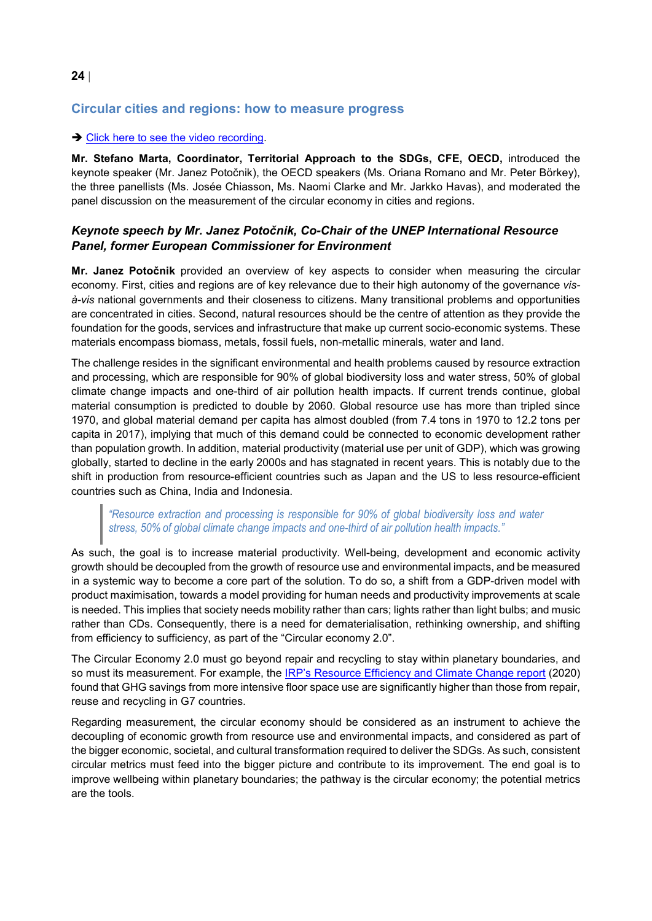### **24** |

### <span id="page-23-0"></span>**Circular cities and regions: how to measure progress**

### → [Click here to see the video recording.](https://www.youtube.com/watch?v=7UQVGLNVhyU&t=523s)

**Mr. Stefano Marta, Coordinator, Territorial Approach to the SDGs, CFE, OECD,** introduced the keynote speaker (Mr. Janez Potočnik), the OECD speakers (Ms. Oriana Romano and Mr. Peter Börkey), the three panellists (Ms. Josée Chiasson, Ms. Naomi Clarke and Mr. Jarkko Havas), and moderated the panel discussion on the measurement of the circular economy in cities and regions.

### *Keynote speech by Mr. Janez Potočnik, Co-Chair of the UNEP International Resource Panel, former European Commissioner for Environment*

**Mr. Janez Potočnik** provided an overview of key aspects to consider when measuring the circular economy. First, cities and regions are of key relevance due to their high autonomy of the governance *visà-vis* national governments and their closeness to citizens. Many transitional problems and opportunities are concentrated in cities. Second, natural resources should be the centre of attention as they provide the foundation for the goods, services and infrastructure that make up current socio-economic systems. These materials encompass biomass, metals, fossil fuels, non-metallic minerals, water and land.

The challenge resides in the significant environmental and health problems caused by resource extraction and processing, which are responsible for 90% of global biodiversity loss and water stress, 50% of global climate change impacts and one-third of air pollution health impacts. If current trends continue, global material consumption is predicted to double by 2060. Global resource use has more than tripled since 1970, and global material demand per capita has almost doubled (from 7.4 tons in 1970 to 12.2 tons per capita in 2017), implying that much of this demand could be connected to economic development rather than population growth. In addition, material productivity (material use per unit of GDP), which was growing globally, started to decline in the early 2000s and has stagnated in recent years. This is notably due to the shift in production from resource-efficient countries such as Japan and the US to less resource-efficient countries such as China, India and Indonesia.

### *"Resource extraction and processing is responsible for 90% of global biodiversity loss and water stress, 50% of global climate change impacts and one-third of air pollution health impacts."*

As such, the goal is to increase material productivity. Well-being, development and economic activity growth should be decoupled from the growth of resource use and environmental impacts, and be measured in a systemic way to become a core part of the solution. To do so, a shift from a GDP-driven model with product maximisation, towards a model providing for human needs and productivity improvements at scale is needed. This implies that society needs mobility rather than cars; lights rather than light bulbs; and music rather than CDs. Consequently, there is a need for dematerialisation, rethinking ownership, and shifting from efficiency to sufficiency, as part of the "Circular economy 2.0".

The Circular Economy 2.0 must go beyond repair and recycling to stay within planetary boundaries, and so must its measurement. For example, the **IRP's Resource Efficiency and Climate Change report** (2020) found that GHG savings from more intensive floor space use are significantly higher than those from repair, reuse and recycling in G7 countries.

Regarding measurement, the circular economy should be considered as an instrument to achieve the decoupling of economic growth from resource use and environmental impacts, and considered as part of the bigger economic, societal, and cultural transformation required to deliver the SDGs. As such, consistent circular metrics must feed into the bigger picture and contribute to its improvement. The end goal is to improve wellbeing within planetary boundaries; the pathway is the circular economy; the potential metrics are the tools.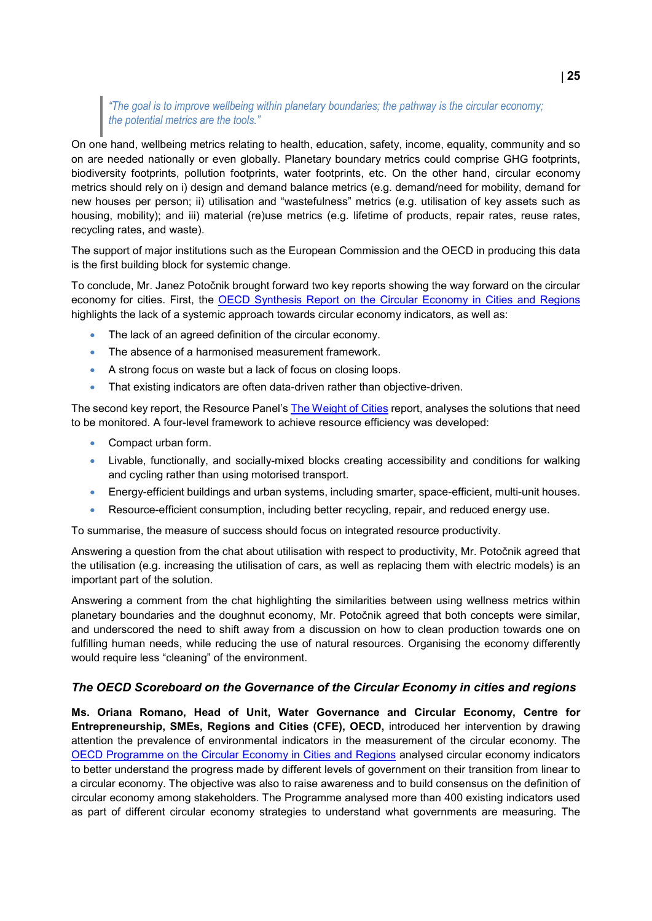### *"The goal is to improve wellbeing within planetary boundaries; the pathway is the circular economy; the potential metrics are the tools."*

On one hand, wellbeing metrics relating to health, education, safety, income, equality, community and so on are needed nationally or even globally. Planetary boundary metrics could comprise GHG footprints, biodiversity footprints, pollution footprints, water footprints, etc. On the other hand, circular economy metrics should rely on i) design and demand balance metrics (e.g. demand/need for mobility, demand for new houses per person; ii) utilisation and "wastefulness" metrics (e.g. utilisation of key assets such as housing, mobility); and iii) material (re)use metrics (e.g. lifetime of products, repair rates, reuse rates, recycling rates, and waste).

The support of major institutions such as the European Commission and the OECD in producing this data is the first building block for systemic change.

To conclude, Mr. Janez Potočnik brought forward two key reports showing the way forward on the circular economy for cities. First, the OECD Synthesis Report [on the Circular Economy in Cities and Regions](https://www.oecd-ilibrary.org/urban-rural-and-regional-development/the-circular-economy-in-cities-and-regions_10ac6ae4-en) highlights the lack of a systemic approach towards circular economy indicators, as well as:

- The lack of an agreed definition of the circular economy.
- The absence of a harmonised measurement framework.
- A strong focus on waste but a lack of focus on closing loops.
- That existing indicators are often data-driven rather than objective-driven.

The second key report, the Resource Panel's **The Weight of Cities report, analyses the solutions that need** to be monitored. A four-level framework to achieve resource efficiency was developed:

- Compact urban form.
- Livable, functionally, and socially-mixed blocks creating accessibility and conditions for walking and cycling rather than using motorised transport.
- Energy-efficient buildings and urban systems, including smarter, space-efficient, multi-unit houses.
- Resource-efficient consumption, including better recycling, repair, and reduced energy use.

To summarise, the measure of success should focus on integrated resource productivity.

Answering a question from the chat about utilisation with respect to productivity, Mr. Potočnik agreed that the utilisation (e.g. increasing the utilisation of cars, as well as replacing them with electric models) is an important part of the solution.

Answering a comment from the chat highlighting the similarities between using wellness metrics within planetary boundaries and the doughnut economy, Mr. Potočnik agreed that both concepts were similar, and underscored the need to shift away from a discussion on how to clean production towards one on fulfilling human needs, while reducing the use of natural resources. Organising the economy differently would require less "cleaning" of the environment.

### *The OECD Scoreboard on the Governance of the Circular Economy in cities and regions*

**Ms. Oriana Romano, Head of Unit, Water Governance and Circular Economy, Centre for Entrepreneurship, SMEs, Regions and Cities (CFE), OECD,** introduced her intervention by drawing attention the prevalence of environmental indicators in the measurement of the circular economy. The [OECD Programme on the Circular Economy in Cities and Regions](https://www.oecd.org/regional/cities/circular-economy-cities.htm) analysed circular economy indicators to better understand the progress made by different levels of government on their transition from linear to a circular economy. The objective was also to raise awareness and to build consensus on the definition of circular economy among stakeholders. The Programme analysed more than 400 existing indicators used as part of different circular economy strategies to understand what governments are measuring. The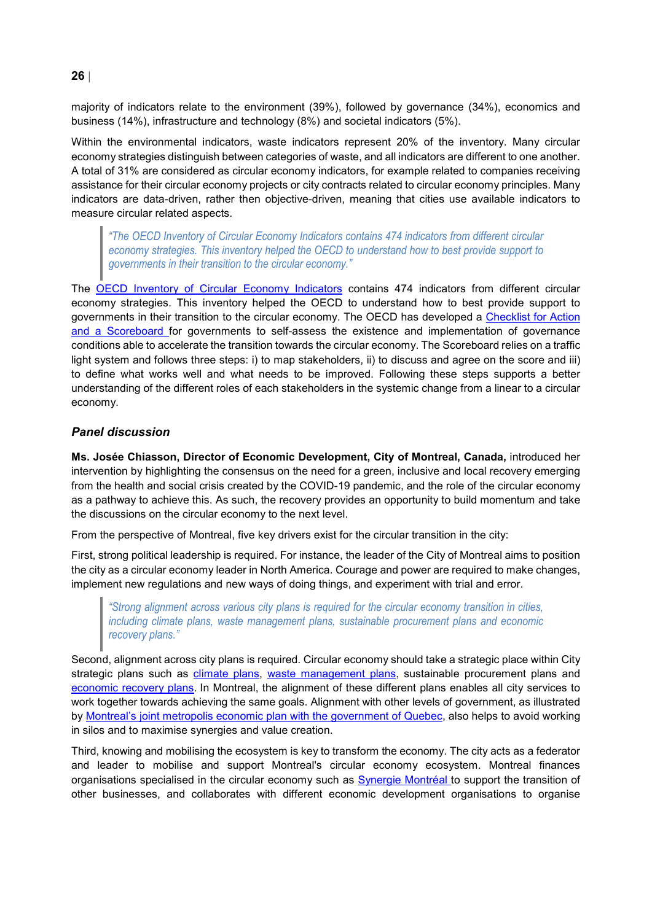majority of indicators relate to the environment (39%), followed by governance (34%), economics and business (14%), infrastructure and technology (8%) and societal indicators (5%).

Within the environmental indicators, waste indicators represent 20% of the inventory. Many circular economy strategies distinguish between categories of waste, and all indicators are different to one another. A total of 31% are considered as circular economy indicators, for example related to companies receiving assistance for their circular economy projects or city contracts related to circular economy principles. Many indicators are data-driven, rather then objective-driven, meaning that cities use available indicators to measure circular related aspects.

*"The OECD Inventory of Circular Economy Indicators contains 474 indicators from different circular economy strategies. This inventory helped the OECD to understand how to best provide support to governments in their transition to the circular economy."* 

The [OECD Inventory of Circular Economy Indicators](https://www.oecd.org/cfe/cities/InventoryCircularEconomyIndicators.pdf) contains 474 indicators from different circular economy strategies. This inventory helped the OECD to understand how to best provide support to governments in their transition to the circular economy. The OECD has developed a [Checklist for Action](https://www.oecd-ilibrary.org/urban-rural-and-regional-development/the-circular-economy-in-cities-and-regions_724e5c45-en)  [and a Scoreboard](https://www.oecd-ilibrary.org/urban-rural-and-regional-development/the-circular-economy-in-cities-and-regions_724e5c45-en) for governments to self-assess the existence and implementation of governance conditions able to accelerate the transition towards the circular economy. The Scoreboard relies on a traffic light system and follows three steps: i) to map stakeholders, ii) to discuss and agree on the score and iii) to define what works well and what needs to be improved. Following these steps supports a better understanding of the different roles of each stakeholders in the systemic change from a linear to a circular economy.

### *Panel discussion*

**Ms. Josée Chiasson, Director of Economic Development, City of Montreal, Canada,** introduced her intervention by highlighting the consensus on the need for a green, inclusive and local recovery emerging from the health and social crisis created by the COVID-19 pandemic, and the role of the circular economy as a pathway to achieve this. As such, the recovery provides an opportunity to build momentum and take the discussions on the circular economy to the next level.

From the perspective of Montreal, five key drivers exist for the circular transition in the city:

First, strong political leadership is required. For instance, the leader of the City of Montreal aims to position the city as a circular economy leader in North America. Courage and power are required to make changes, implement new regulations and new ways of doing things, and experiment with trial and error.

*"Strong alignment across various city plans is required for the circular economy transition in cities, including climate plans, waste management plans, sustainable procurement plans and economic recovery plans."*

Second, alignment across city plans is required. Circular economy should take a strategic place within City strategic plans such as [climate plans,](https://eur02.safelinks.protection.outlook.com/?url=https%3A%2F%2Fportail-m4s-dev.s3.montreal.ca%2Fpdf%2Fclimate_plan_2020_2030_vdm.pdf&data=04%7C01%7COriana.ROMANO%40oecd.org%7C2ec9b38e4f9b468f860808d95139ba6f%7Cac41c7d41f61460db0f4fc925a2b471c%7C0%7C1%7C637630130662553631%7CUnknown%7CTWFpbGZsb3d8eyJWIjoiMC4wLjAwMDAiLCJQIjoiV2luMzIiLCJBTiI6Ik1haWwiLCJXVCI6Mn0%3D%7C1000&sdata=9rYFBg513urltYR5nJmwD9XsJwKZGTF7QroFjkav0Y8%3D&reserved=0) [waste management plans,](https://eur02.safelinks.protection.outlook.com/?url=https%3A%2F%2Fportail-m4s-dev.s3.montreal.ca%2Fpdf%2F2020_montreal_zero_dechet_2020_2025.pdf&data=04%7C01%7COriana.ROMANO%40oecd.org%7C2ec9b38e4f9b468f860808d95139ba6f%7Cac41c7d41f61460db0f4fc925a2b471c%7C0%7C1%7C637630130662563623%7CUnknown%7CTWFpbGZsb3d8eyJWIjoiMC4wLjAwMDAiLCJQIjoiV2luMzIiLCJBTiI6Ik1haWwiLCJXVCI6Mn0%3D%7C1000&sdata=XYoShT1lmScY4hJx4eKygNTRBPckCoFrAD0f5vcYLGo%3D&reserved=0) sustainable procurement plans and [economic recovery plans.](https://eur02.safelinks.protection.outlook.com/?url=https%3A%2F%2Fmontreal.ca%2Fen%2Farticles%2F2021-economic-recovery-plan-8767&data=04%7C01%7COriana.ROMANO%40oecd.org%7C2ec9b38e4f9b468f860808d95139ba6f%7Cac41c7d41f61460db0f4fc925a2b471c%7C0%7C1%7C637630130662563623%7CUnknown%7CTWFpbGZsb3d8eyJWIjoiMC4wLjAwMDAiLCJQIjoiV2luMzIiLCJBTiI6Ik1haWwiLCJXVCI6Mn0%3D%7C1000&sdata=QpqnPhoV1HIaVMKun9xP%2BoBwV0ytwZ9Hn1TsfPwpCE4%3D&reserved=0) In Montreal, the alignment of these different plans enables all city services to work together towards achieving the same goals. Alignment with other levels of government, as illustrated by [Montreal's joint metropolis economic plan with the government of Quebec,](https://plq.org/en/press-release/quebec-montreal-together-innovative-metropolis/) also helps to avoid working in silos and to maximise synergies and value creation.

Third, knowing and mobilising the ecosystem is key to transform the economy. The city acts as a federator and leader to mobilise and support Montreal's circular economy ecosystem. Montreal finances organisations specialised in the circular economy such as [Synergie Montréal t](https://eur02.safelinks.protection.outlook.com/?url=https%3A%2F%2Ffr-ca.facebook.com%2Fsynergiemontreal%2F&data=04%7C01%7COriana.ROMANO%40oecd.org%7C2ec9b38e4f9b468f860808d95139ba6f%7Cac41c7d41f61460db0f4fc925a2b471c%7C0%7C1%7C637630130662573616%7CUnknown%7CTWFpbGZsb3d8eyJWIjoiMC4wLjAwMDAiLCJQIjoiV2luMzIiLCJBTiI6Ik1haWwiLCJXVCI6Mn0%3D%7C1000&sdata=ovWSGNi4F2TCT0J5M0MwUNYupjrnyxv87vAQK9mtmGQ%3D&reserved=0)o support the transition of other businesses, and collaborates with different economic development organisations to organise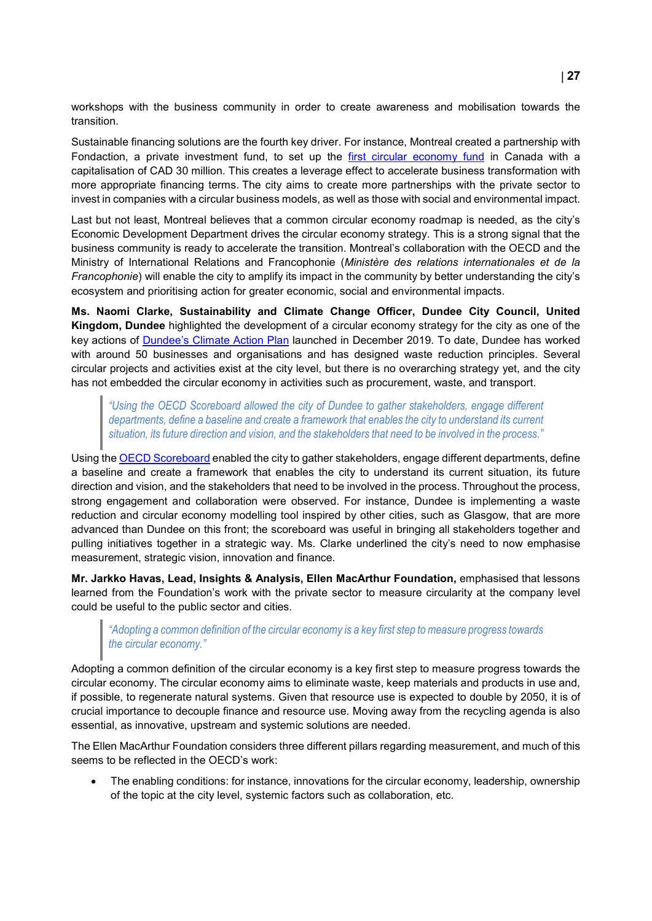workshops with the business community in order to create awareness and mobilisation towards the transition.

Sustainable financing solutions are the fourth key driver. For instance, Montreal created a partnership with Fondaction, a private investment fund, to set up the [first circular economy fund](https://eur02.safelinks.protection.outlook.com/?url=https%3A%2F%2Fwww.fondaction.com%2Ffonds-economie-circulaire%2F&data=04%7C01%7COriana.ROMANO%40oecd.org%7C2ec9b38e4f9b468f860808d95139ba6f%7Cac41c7d41f61460db0f4fc925a2b471c%7C0%7C1%7C637630130662583612%7CUnknown%7CTWFpbGZsb3d8eyJWIjoiMC4wLjAwMDAiLCJQIjoiV2luMzIiLCJBTiI6Ik1haWwiLCJXVCI6Mn0%3D%7C1000&sdata=W8DPWvGUcwXFVoMWu98VJ%2Fw0jbzZSnHPcvU2SqD72Ec%3D&reserved=0) in Canada with a capitalisation of CAD 30 million. This creates a leverage effect to accelerate business transformation with more appropriate financing terms. The city aims to create more partnerships with the private sector to invest in companies with a circular business models, as well as those with social and environmental impact.

Last but not least, Montreal believes that a common circular economy roadmap is needed, as the city's Economic Development Department drives the circular economy strategy. This is a strong signal that the business community is ready to accelerate the transition. Montreal's collaboration with the OECD and the Ministry of International Relations and Francophonie (*Ministère des relations internationales et de la Francophonie*) will enable the city to amplify its impact in the community by better understanding the city's ecosystem and prioritising action for greater economic, social and environmental impacts.

**Ms. Naomi Clarke, Sustainability and Climate Change Officer, Dundee City Council, United Kingdom, Dundee** highlighted the development of a circular economy strategy for the city as one of the key actions of [Dundee's Climate Action Plan](https://www.dundeecity.gov.uk/sites/default/files/publications/climateactionplan.pdf) launched in December 2019. To date, Dundee has worked with around 50 businesses and organisations and has designed waste reduction principles. Several circular projects and activities exist at the city level, but there is no overarching strategy yet, and the city has not embedded the circular economy in activities such as procurement, waste, and transport.

*"Using the OECD Scoreboard allowed the city of Dundee to gather stakeholders, engage different departments, define a baseline and create a framework that enables the city to understand its current situation, its future direction and vision, and the stakeholders that need to be involved in the process."*

Using the [OECD Scoreboard](https://www.oecd-ilibrary.org/urban-rural-and-regional-development/the-circular-economy-in-cities-and-regions_724e5c45-en) enabled the city to gather stakeholders, engage different departments, define a baseline and create a framework that enables the city to understand its current situation, its future direction and vision, and the stakeholders that need to be involved in the process. Throughout the process, strong engagement and collaboration were observed. For instance, Dundee is implementing a waste reduction and circular economy modelling tool inspired by other cities, such as Glasgow, that are more advanced than Dundee on this front; the scoreboard was useful in bringing all stakeholders together and pulling initiatives together in a strategic way. Ms. Clarke underlined the city's need to now emphasise measurement, strategic vision, innovation and finance.

**Mr. Jarkko Havas, Lead, Insights & Analysis, Ellen MacArthur Foundation,** emphasised that lessons learned from the Foundation's work with the private sector to measure circularity at the company level could be useful to the public sector and cities.

### *"Adopting a common definition of the circular economy is a key first step to measure progress towards the circular economy."*

Adopting a common definition of the circular economy is a key first step to measure progress towards the circular economy. The circular economy aims to eliminate waste, keep materials and products in use and, if possible, to regenerate natural systems. Given that resource use is expected to double by 2050, it is of crucial importance to decouple finance and resource use. Moving away from the recycling agenda is also essential, as innovative, upstream and systemic solutions are needed.

The Ellen MacArthur Foundation considers three different pillars regarding measurement, and much of this seems to be reflected in the OECD's work:

• The enabling conditions: for instance, innovations for the circular economy, leadership, ownership of the topic at the city level, systemic factors such as collaboration, etc.